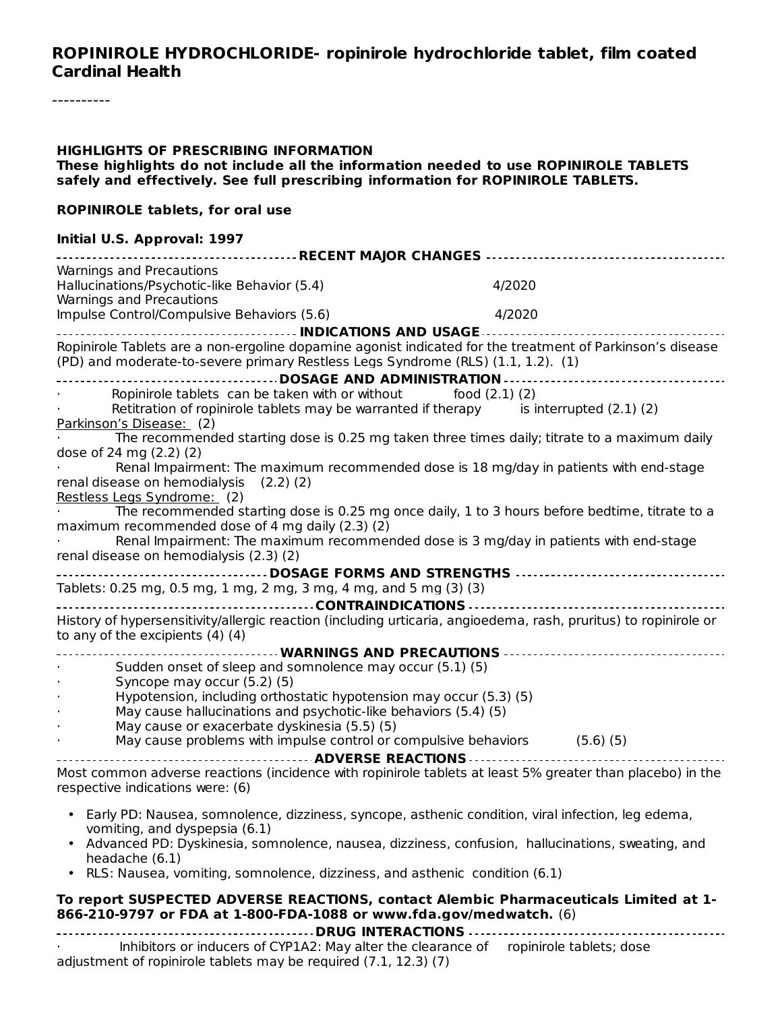#### **ROPINIROLE HYDROCHLORIDE- ropinirole hydrochloride tablet, film coated Cardinal Health**

----------

| <b>HIGHLIGHTS OF PRESCRIBING INFORMATION</b><br>These highlights do not include all the information needed to use ROPINIROLE TABLETS<br>safely and effectively. See full prescribing information for ROPINIROLE TABLETS. |                                                                                  |  |  |
|--------------------------------------------------------------------------------------------------------------------------------------------------------------------------------------------------------------------------|----------------------------------------------------------------------------------|--|--|
| <b>ROPINIROLE tablets, for oral use</b>                                                                                                                                                                                  |                                                                                  |  |  |
| Initial U.S. Approval: 1997                                                                                                                                                                                              |                                                                                  |  |  |
|                                                                                                                                                                                                                          |                                                                                  |  |  |
| Warnings and Precautions<br>Hallucinations/Psychotic-like Behavior (5.4)<br>Warnings and Precautions                                                                                                                     | 4/2020                                                                           |  |  |
| Impulse Control/Compulsive Behaviors (5.6)                                                                                                                                                                               | 4/2020                                                                           |  |  |
|                                                                                                                                                                                                                          |                                                                                  |  |  |
| Ropinirole Tablets are a non-ergoline dopamine agonist indicated for the treatment of Parkinson's disease<br>(PD) and moderate-to-severe primary Restless Legs Syndrome (RLS) (1.1, 1.2). (1)                            |                                                                                  |  |  |
|                                                                                                                                                                                                                          |                                                                                  |  |  |
| Ropinirole tablets can be taken with or without $\sim$ food (2.1) (2)<br>Retitration of ropinirole tablets may be warranted if therapy is interrupted (2.1) (2)<br>Parkinson's Disease: (2)                              |                                                                                  |  |  |
| The recommended starting dose is 0.25 mg taken three times daily; titrate to a maximum daily<br>dose of 24 mg (2.2) (2)<br>Renal Impairment: The maximum recommended dose is 18 mg/day in patients with end-stage        |                                                                                  |  |  |
| renal disease on hemodialysis (2.2) (2)<br>Restless Legs Syndrome: (2)                                                                                                                                                   |                                                                                  |  |  |
| The recommended starting dose is 0.25 mg once daily, 1 to 3 hours before bedtime, titrate to a<br>maximum recommended dose of 4 mg daily (2.3) (2)                                                                       |                                                                                  |  |  |
| Renal Impairment: The maximum recommended dose is 3 mg/day in patients with end-stage<br>renal disease on hemodialysis (2.3) (2)                                                                                         |                                                                                  |  |  |
|                                                                                                                                                                                                                          |                                                                                  |  |  |
| Tablets: 0.25 mg, 0.5 mg, 1 mg, 2 mg, 3 mg, 4 mg, and 5 mg (3) (3)                                                                                                                                                       |                                                                                  |  |  |
|                                                                                                                                                                                                                          |                                                                                  |  |  |
| History of hypersensitivity/allergic reaction (including urticaria, angioedema, rash, pruritus) to ropinirole or<br>to any of the excipients $(4)$ $(4)$                                                                 |                                                                                  |  |  |
| Sudden onset of sleep and somnolence may occur (5.1) (5)                                                                                                                                                                 | ------------------- WARNINGS AND PRECAUTIONS ----------------------------------- |  |  |
| Syncope may occur (5.2) (5)                                                                                                                                                                                              |                                                                                  |  |  |
| Hypotension, including orthostatic hypotension may occur (5.3) (5)<br>May cause hallucinations and psychotic-like behaviors (5.4) (5)                                                                                    |                                                                                  |  |  |
| May cause or exacerbate dyskinesia (5.5) (5)<br>May cause problems with impulse control or compulsive behaviors (5.6) (5)                                                                                                |                                                                                  |  |  |
|                                                                                                                                                                                                                          |                                                                                  |  |  |
| Most common adverse reactions (incidence with ropinirole tablets at least 5% greater than placebo) in the<br>respective indications were: (6)                                                                            |                                                                                  |  |  |
| • Early PD: Nausea, somnolence, dizziness, syncope, asthenic condition, viral infection, leg edema,<br>vomiting, and dyspepsia (6.1)                                                                                     |                                                                                  |  |  |
| • Advanced PD: Dyskinesia, somnolence, nausea, dizziness, confusion, hallucinations, sweating, and<br>headache (6.1)                                                                                                     |                                                                                  |  |  |
| • RLS: Nausea, vomiting, somnolence, dizziness, and asthenic condition (6.1)                                                                                                                                             |                                                                                  |  |  |
| To report SUSPECTED ADVERSE REACTIONS, contact Alembic Pharmaceuticals Limited at 1-<br>866-210-9797 or FDA at 1-800-FDA-1088 or www.fda.gov/medwatch. (6)                                                               |                                                                                  |  |  |
|                                                                                                                                                                                                                          |                                                                                  |  |  |

· Inhibitors or inducers of CYP1A2: May alter the clearance of ropinirole tablets; dose adjustment of ropinirole tablets may be required (7.1, 12.3) (7)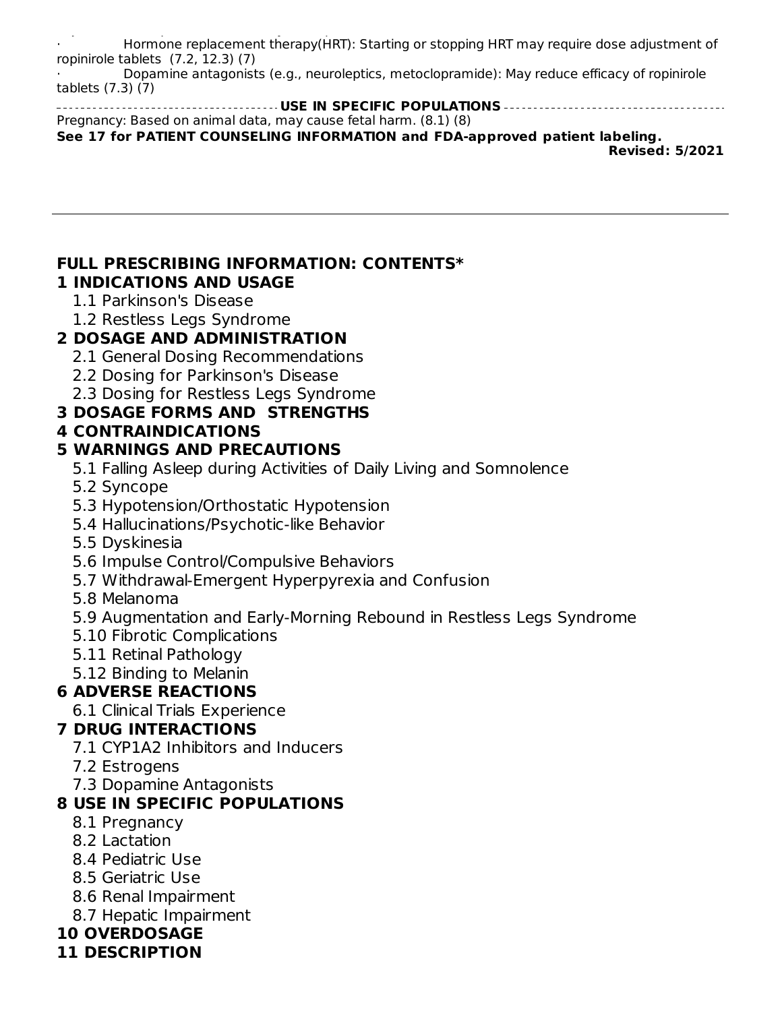adjustment of ropinirole tablets may be required (7.1, 12.3) (7.1, 12.3) (7.1, 12.3) (7.1, 12.3) (7.1, 12.3) ( · Hormone replacement therapy(HRT): Starting or stopping HRT may require dose adjustment of ropinirole tablets (7.2, 12.3) (7)

· Dopamine antagonists (e.g., neuroleptics, metoclopramide): May reduce efficacy of ropinirole tablets (7.3) (7)

**USE IN SPECIFIC POPULATIONS** Pregnancy: Based on animal data, may cause fetal harm. (8.1) (8) **See 17 for PATIENT COUNSELING INFORMATION and FDA-approved patient labeling. Revised: 5/2021**

## **FULL PRESCRIBING INFORMATION: CONTENTS\***

#### **1 INDICATIONS AND USAGE**

- 1.1 Parkinson's Disease
- 1.2 Restless Legs Syndrome

## **2 DOSAGE AND ADMINISTRATION**

- 2.1 General Dosing Recommendations
- 2.2 Dosing for Parkinson's Disease
- 2.3 Dosing for Restless Legs Syndrome

## **3 DOSAGE FORMS AND STRENGTHS**

#### **4 CONTRAINDICATIONS**

#### **5 WARNINGS AND PRECAUTIONS**

- 5.1 Falling Asleep during Activities of Daily Living and Somnolence
- 5.2 Syncope
- 5.3 Hypotension/Orthostatic Hypotension
- 5.4 Hallucinations/Psychotic-like Behavior
- 5.5 Dyskinesia
- 5.6 Impulse Control/Compulsive Behaviors
- 5.7 Withdrawal-Emergent Hyperpyrexia and Confusion
- 5.8 Melanoma
- 5.9 Augmentation and Early-Morning Rebound in Restless Legs Syndrome
- 5.10 Fibrotic Complications
- 5.11 Retinal Pathology
- 5.12 Binding to Melanin

## **6 ADVERSE REACTIONS**

6.1 Clinical Trials Experience

## **7 DRUG INTERACTIONS**

- 7.1 CYP1A2 Inhibitors and Inducers
- 7.2 Estrogens
- 7.3 Dopamine Antagonists

## **8 USE IN SPECIFIC POPULATIONS**

- 8.1 Pregnancy
- 8.2 Lactation
- 8.4 Pediatric Use
- 8.5 Geriatric Use
- 8.6 Renal Impairment
- 8.7 Hepatic Impairment

## **10 OVERDOSAGE**

**11 DESCRIPTION**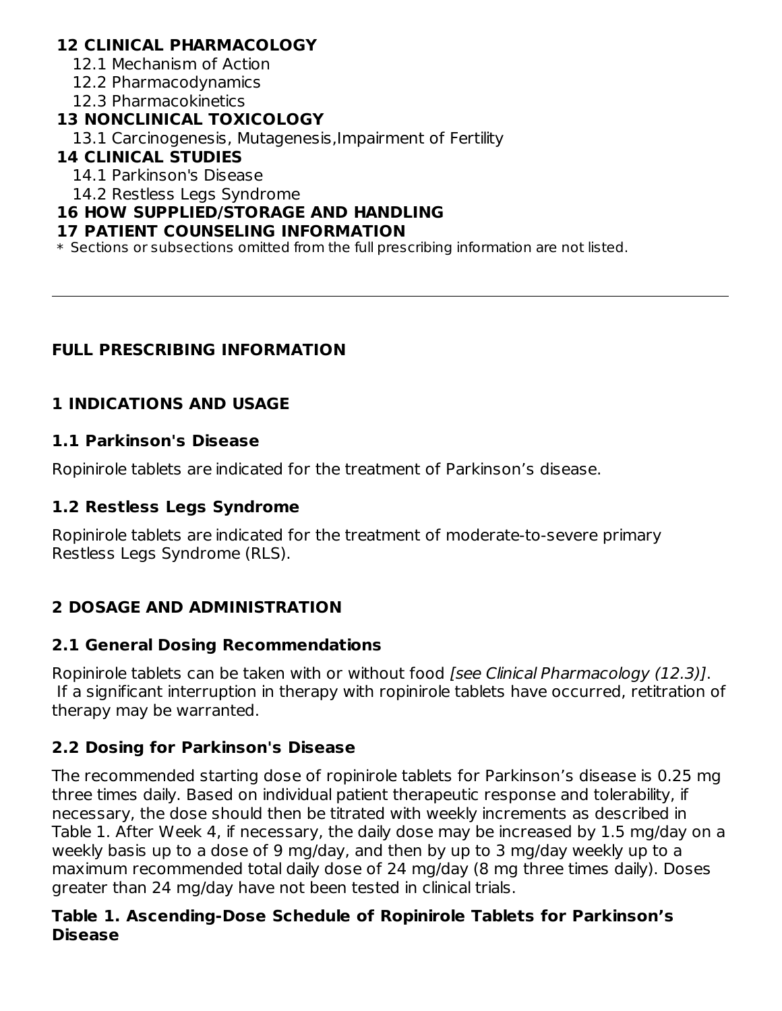#### **12 CLINICAL PHARMACOLOGY**

12.1 Mechanism of Action

12.2 Pharmacodynamics

12.3 Pharmacokinetics

#### **13 NONCLINICAL TOXICOLOGY**

13.1 Carcinogenesis, Mutagenesis,Impairment of Fertility

#### **14 CLINICAL STUDIES**

14.1 Parkinson's Disease

14.2 Restless Legs Syndrome

#### **16 HOW SUPPLIED/STORAGE AND HANDLING**

#### **17 PATIENT COUNSELING INFORMATION**

\* Sections or subsections omitted from the full prescribing information are not listed.

#### **FULL PRESCRIBING INFORMATION**

#### **1 INDICATIONS AND USAGE**

#### **1.1 Parkinson's Disease**

Ropinirole tablets are indicated for the treatment of Parkinson's disease.

#### **1.2 Restless Legs Syndrome**

Ropinirole tablets are indicated for the treatment of moderate-to-severe primary Restless Legs Syndrome (RLS).

## **2 DOSAGE AND ADMINISTRATION**

#### **2.1 General Dosing Recommendations**

Ropinirole tablets can be taken with or without food *[see Clinical Pharmacology (12.3)]*. If a significant interruption in therapy with ropinirole tablets have occurred, retitration of therapy may be warranted.

## **2.2 Dosing for Parkinson's Disease**

The recommended starting dose of ropinirole tablets for Parkinson's disease is 0.25 mg three times daily. Based on individual patient therapeutic response and tolerability, if necessary, the dose should then be titrated with weekly increments as described in Table 1. After Week 4, if necessary, the daily dose may be increased by 1.5 mg/day on a weekly basis up to a dose of 9 mg/day, and then by up to 3 mg/day weekly up to a maximum recommended total daily dose of 24 mg/day (8 mg three times daily). Doses greater than 24 mg/day have not been tested in clinical trials.

#### **Table 1. Ascending-Dose Schedule of Ropinirole Tablets for Parkinson's Disease**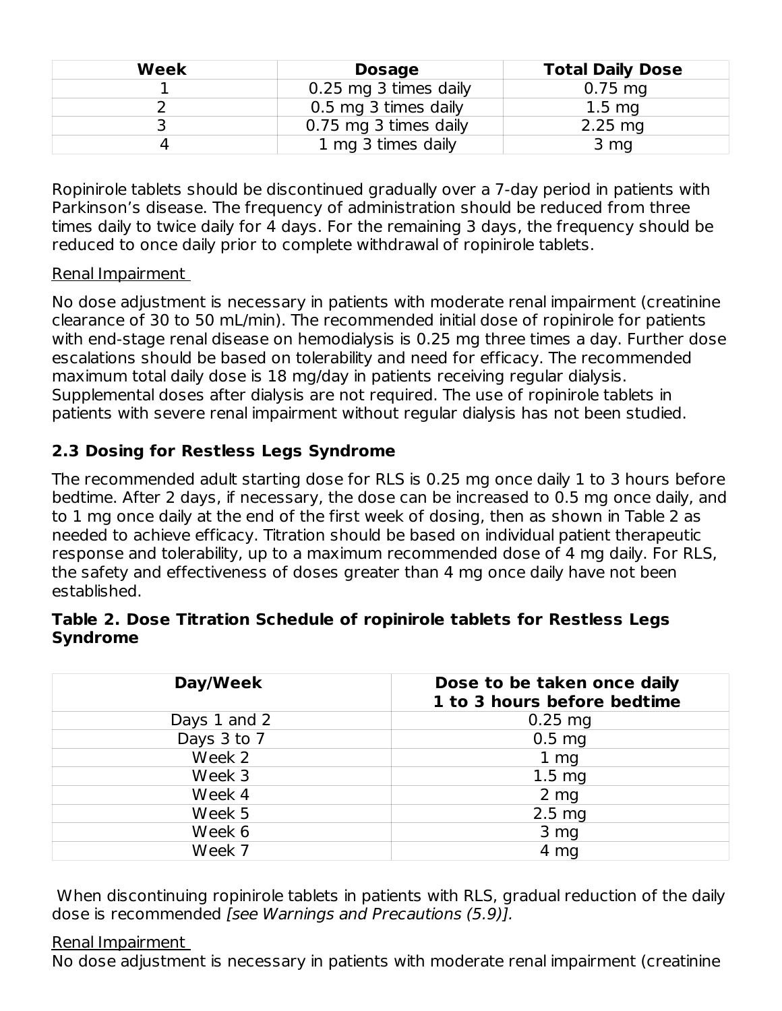| Week | <b>Dosage</b>         | <b>Total Daily Dose</b> |
|------|-----------------------|-------------------------|
|      | 0.25 mg 3 times daily | $0.75$ mg               |
|      | 0.5 mg 3 times daily  | $1.5 \text{ mg}$        |
|      | 0.75 mg 3 times daily | $2.25$ mg               |
|      | 1 mg 3 times daily    | 3 <sub>mg</sub>         |

Ropinirole tablets should be discontinued gradually over a 7-day period in patients with Parkinson's disease. The frequency of administration should be reduced from three times daily to twice daily for 4 days. For the remaining 3 days, the frequency should be reduced to once daily prior to complete withdrawal of ropinirole tablets.

#### Renal Impairment

No dose adjustment is necessary in patients with moderate renal impairment (creatinine clearance of 30 to 50 mL/min). The recommended initial dose of ropinirole for patients with end-stage renal disease on hemodialysis is 0.25 mg three times a day. Further dose escalations should be based on tolerability and need for efficacy. The recommended maximum total daily dose is 18 mg/day in patients receiving regular dialysis. Supplemental doses after dialysis are not required. The use of ropinirole tablets in patients with severe renal impairment without regular dialysis has not been studied.

## **2.3 Dosing for Restless Legs Syndrome**

The recommended adult starting dose for RLS is 0.25 mg once daily 1 to 3 hours before bedtime. After 2 days, if necessary, the dose can be increased to 0.5 mg once daily, and to 1 mg once daily at the end of the first week of dosing, then as shown in Table 2 as needed to achieve efficacy. Titration should be based on individual patient therapeutic response and tolerability, up to a maximum recommended dose of 4 mg daily. For RLS, the safety and effectiveness of doses greater than 4 mg once daily have not been established.

| Table 2. Dose Titration Schedule of ropinirole tablets for Restless Legs |  |  |
|--------------------------------------------------------------------------|--|--|
| <b>Syndrome</b>                                                          |  |  |

| Day/Week     | Dose to be taken once daily<br>1 to 3 hours before bedtime |
|--------------|------------------------------------------------------------|
| Days 1 and 2 | $0.25$ mg                                                  |
| Days 3 to 7  | 0.5 <sub>mg</sub>                                          |
| Week 2       | 1 <sub>mg</sub>                                            |
| Week 3       | 1.5 <sub>mg</sub>                                          |
| Week 4       | 2 <sub>mg</sub>                                            |
| Week 5       | 2.5 <sub>mg</sub>                                          |
| Week 6       | 3 <sub>mg</sub>                                            |
| Week 7       | 4 mg                                                       |

When discontinuing ropinirole tablets in patients with RLS, gradual reduction of the daily dose is recommended [see Warnings and Precautions (5.9)].

#### Renal Impairment

No dose adjustment is necessary in patients with moderate renal impairment (creatinine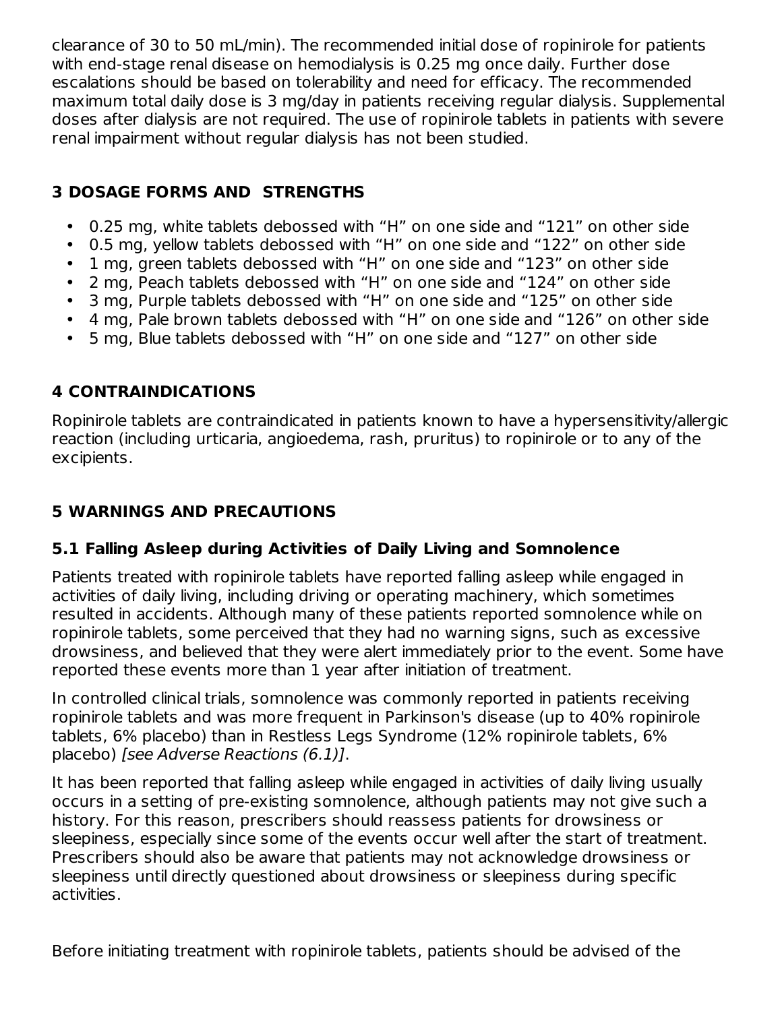clearance of 30 to 50 mL/min). The recommended initial dose of ropinirole for patients with end-stage renal disease on hemodialysis is 0.25 mg once daily. Further dose escalations should be based on tolerability and need for efficacy. The recommended maximum total daily dose is 3 mg/day in patients receiving regular dialysis. Supplemental doses after dialysis are not required. The use of ropinirole tablets in patients with severe renal impairment without regular dialysis has not been studied.

## **3 DOSAGE FORMS AND STRENGTHS**

- 0.25 mg, white tablets debossed with "H" on one side and "121" on other side
- 0.5 mg, yellow tablets debossed with "H" on one side and "122" on other side
- 1 mg, green tablets debossed with "H" on one side and "123" on other side
- 2 mg, Peach tablets debossed with "H" on one side and "124" on other side
- 3 mg, Purple tablets debossed with "H" on one side and "125" on other side
- 4 mg, Pale brown tablets debossed with "H" on one side and "126" on other side
- 5 mg, Blue tablets debossed with "H" on one side and "127" on other side

## **4 CONTRAINDICATIONS**

Ropinirole tablets are contraindicated in patients known to have a hypersensitivity/allergic reaction (including urticaria, angioedema, rash, pruritus) to ropinirole or to any of the excipients.

## **5 WARNINGS AND PRECAUTIONS**

## **5.1 Falling Asleep during Activities of Daily Living and Somnolence**

Patients treated with ropinirole tablets have reported falling asleep while engaged in activities of daily living, including driving or operating machinery, which sometimes resulted in accidents. Although many of these patients reported somnolence while on ropinirole tablets, some perceived that they had no warning signs, such as excessive drowsiness, and believed that they were alert immediately prior to the event. Some have reported these events more than 1 year after initiation of treatment.

In controlled clinical trials, somnolence was commonly reported in patients receiving ropinirole tablets and was more frequent in Parkinson's disease (up to 40% ropinirole tablets, 6% placebo) than in Restless Legs Syndrome (12% ropinirole tablets, 6% placebo) [see Adverse Reactions (6.1)].

It has been reported that falling asleep while engaged in activities of daily living usually occurs in a setting of pre-existing somnolence, although patients may not give such a history. For this reason, prescribers should reassess patients for drowsiness or sleepiness, especially since some of the events occur well after the start of treatment. Prescribers should also be aware that patients may not acknowledge drowsiness or sleepiness until directly questioned about drowsiness or sleepiness during specific activities.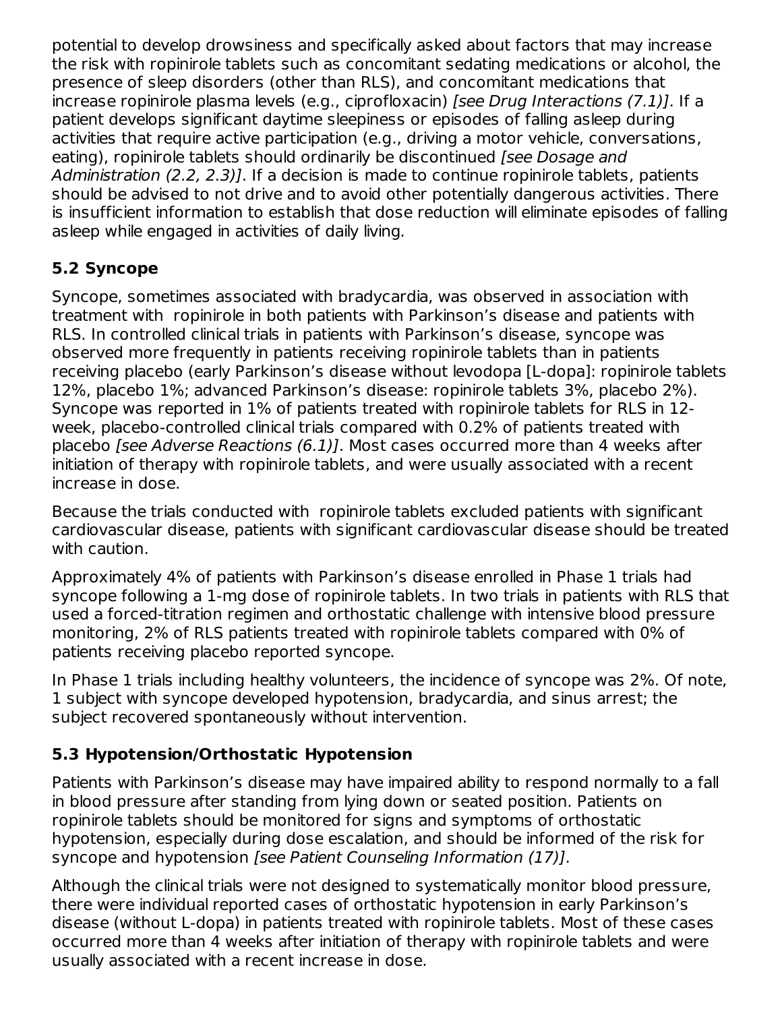potential to develop drowsiness and specifically asked about factors that may increase the risk with ropinirole tablets such as concomitant sedating medications or alcohol, the presence of sleep disorders (other than RLS), and concomitant medications that increase ropinirole plasma levels (e.g., ciprofloxacin) [see Drug Interactions (7.1)]. If a patient develops significant daytime sleepiness or episodes of falling asleep during activities that require active participation (e.g., driving a motor vehicle, conversations, eating), ropinirole tablets should ordinarily be discontinued *[see Dosage and* Administration (2.2, 2.3)]. If a decision is made to continue ropinirole tablets, patients should be advised to not drive and to avoid other potentially dangerous activities. There is insufficient information to establish that dose reduction will eliminate episodes of falling asleep while engaged in activities of daily living.

## **5.2 Syncope**

Syncope, sometimes associated with bradycardia, was observed in association with treatment with ropinirole in both patients with Parkinson's disease and patients with RLS. In controlled clinical trials in patients with Parkinson's disease, syncope was observed more frequently in patients receiving ropinirole tablets than in patients receiving placebo (early Parkinson's disease without levodopa [L-dopa]: ropinirole tablets 12%, placebo 1%; advanced Parkinson's disease: ropinirole tablets 3%, placebo 2%). Syncope was reported in 1% of patients treated with ropinirole tablets for RLS in 12 week, placebo-controlled clinical trials compared with 0.2% of patients treated with placebo [see Adverse Reactions (6.1)]. Most cases occurred more than 4 weeks after initiation of therapy with ropinirole tablets, and were usually associated with a recent increase in dose.

Because the trials conducted with ropinirole tablets excluded patients with significant cardiovascular disease, patients with significant cardiovascular disease should be treated with caution.

Approximately 4% of patients with Parkinson's disease enrolled in Phase 1 trials had syncope following a 1-mg dose of ropinirole tablets. In two trials in patients with RLS that used a forced-titration regimen and orthostatic challenge with intensive blood pressure monitoring, 2% of RLS patients treated with ropinirole tablets compared with 0% of patients receiving placebo reported syncope.

In Phase 1 trials including healthy volunteers, the incidence of syncope was 2%. Of note, 1 subject with syncope developed hypotension, bradycardia, and sinus arrest; the subject recovered spontaneously without intervention.

## **5.3 Hypotension/Orthostatic Hypotension**

Patients with Parkinson's disease may have impaired ability to respond normally to a fall in blood pressure after standing from lying down or seated position. Patients on ropinirole tablets should be monitored for signs and symptoms of orthostatic hypotension, especially during dose escalation, and should be informed of the risk for syncope and hypotension [see Patient Counseling Information (17)].

Although the clinical trials were not designed to systematically monitor blood pressure, there were individual reported cases of orthostatic hypotension in early Parkinson's disease (without L-dopa) in patients treated with ropinirole tablets. Most of these cases occurred more than 4 weeks after initiation of therapy with ropinirole tablets and were usually associated with a recent increase in dose.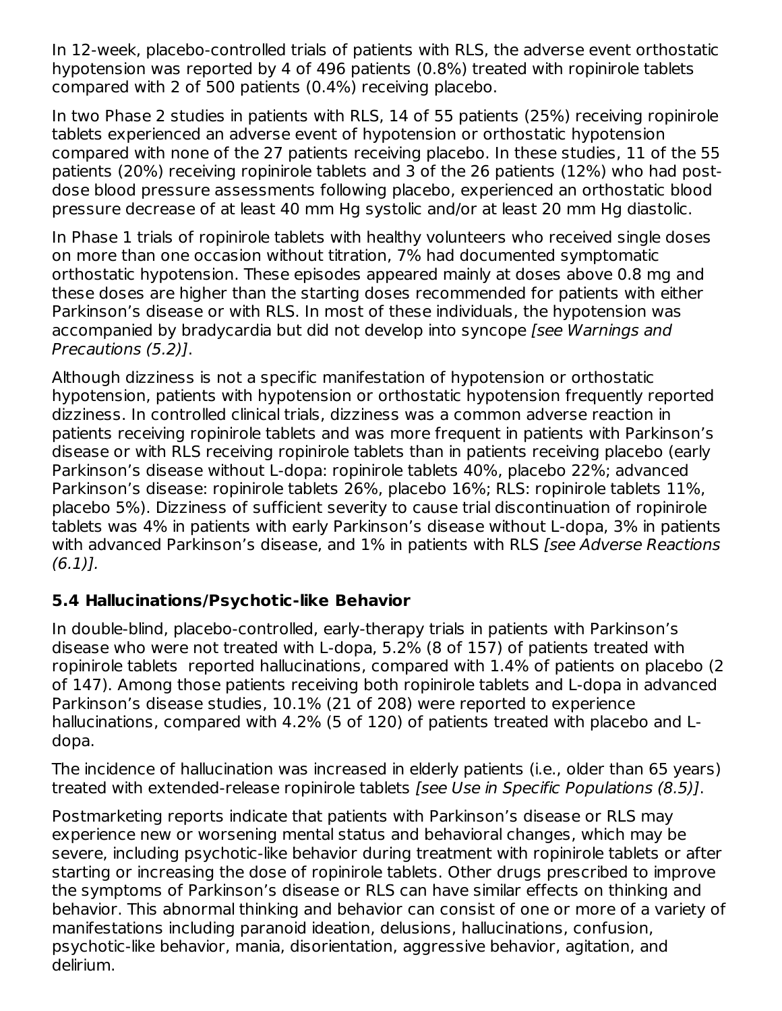In 12-week, placebo-controlled trials of patients with RLS, the adverse event orthostatic hypotension was reported by 4 of 496 patients (0.8%) treated with ropinirole tablets compared with 2 of 500 patients (0.4%) receiving placebo.

In two Phase 2 studies in patients with RLS, 14 of 55 patients (25%) receiving ropinirole tablets experienced an adverse event of hypotension or orthostatic hypotension compared with none of the 27 patients receiving placebo. In these studies, 11 of the 55 patients (20%) receiving ropinirole tablets and 3 of the 26 patients (12%) who had postdose blood pressure assessments following placebo, experienced an orthostatic blood pressure decrease of at least 40 mm Hg systolic and/or at least 20 mm Hg diastolic.

In Phase 1 trials of ropinirole tablets with healthy volunteers who received single doses on more than one occasion without titration, 7% had documented symptomatic orthostatic hypotension. These episodes appeared mainly at doses above 0.8 mg and these doses are higher than the starting doses recommended for patients with either Parkinson's disease or with RLS. In most of these individuals, the hypotension was accompanied by bradycardia but did not develop into syncope [see Warnings and Precautions (5.2)].

Although dizziness is not a specific manifestation of hypotension or orthostatic hypotension, patients with hypotension or orthostatic hypotension frequently reported dizziness. In controlled clinical trials, dizziness was a common adverse reaction in patients receiving ropinirole tablets and was more frequent in patients with Parkinson's disease or with RLS receiving ropinirole tablets than in patients receiving placebo (early Parkinson's disease without L-dopa: ropinirole tablets 40%, placebo 22%; advanced Parkinson's disease: ropinirole tablets 26%, placebo 16%; RLS: ropinirole tablets 11%, placebo 5%). Dizziness of sufficient severity to cause trial discontinuation of ropinirole tablets was 4% in patients with early Parkinson's disease without L-dopa, 3% in patients with advanced Parkinson's disease, and 1% in patients with RLS [see Adverse Reactions (6.1)].

## **5.4 Hallucinations/Psychotic-like Behavior**

In double-blind, placebo-controlled, early-therapy trials in patients with Parkinson's disease who were not treated with L-dopa, 5.2% (8 of 157) of patients treated with ropinirole tablets reported hallucinations, compared with 1.4% of patients on placebo (2 of 147). Among those patients receiving both ropinirole tablets and L-dopa in advanced Parkinson's disease studies, 10.1% (21 of 208) were reported to experience hallucinations, compared with 4.2% (5 of 120) of patients treated with placebo and Ldopa.

The incidence of hallucination was increased in elderly patients (i.e., older than 65 years) treated with extended-release ropinirole tablets [see Use in Specific Populations (8.5)].

Postmarketing reports indicate that patients with Parkinson's disease or RLS may experience new or worsening mental status and behavioral changes, which may be severe, including psychotic-like behavior during treatment with ropinirole tablets or after starting or increasing the dose of ropinirole tablets. Other drugs prescribed to improve the symptoms of Parkinson's disease or RLS can have similar effects on thinking and behavior. This abnormal thinking and behavior can consist of one or more of a variety of manifestations including paranoid ideation, delusions, hallucinations, confusion, psychotic-like behavior, mania, disorientation, aggressive behavior, agitation, and delirium.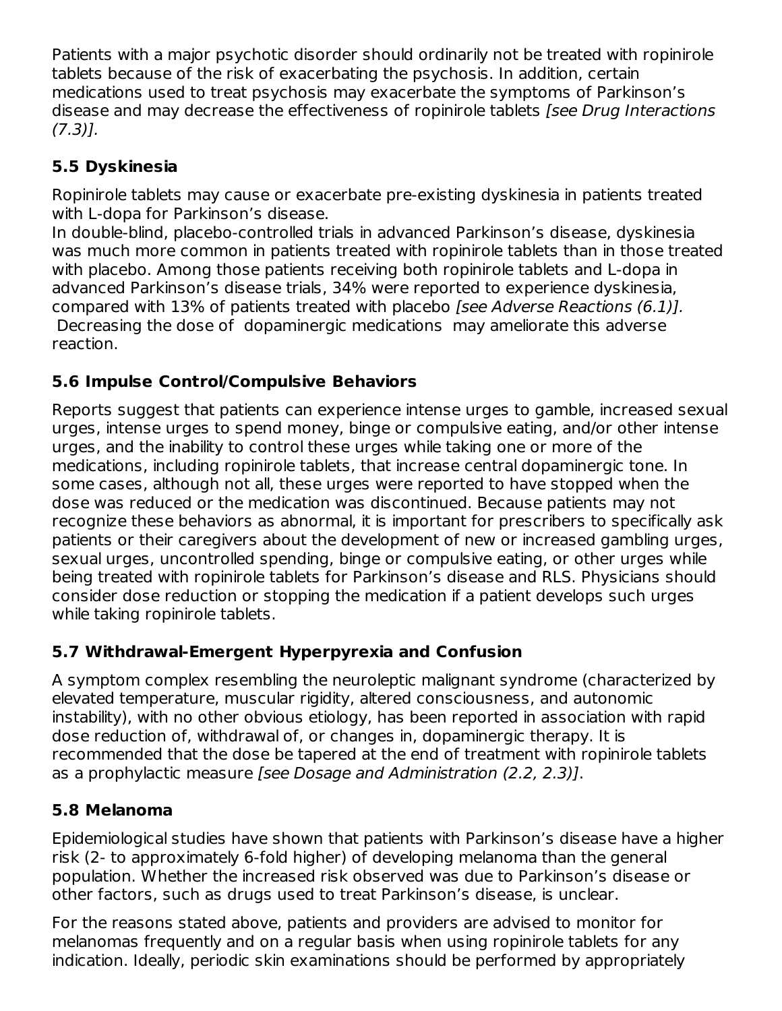Patients with a major psychotic disorder should ordinarily not be treated with ropinirole tablets because of the risk of exacerbating the psychosis. In addition, certain medications used to treat psychosis may exacerbate the symptoms of Parkinson's disease and may decrease the effectiveness of ropinirole tablets [see Drug Interactions (7.3)].

## **5.5 Dyskinesia**

Ropinirole tablets may cause or exacerbate pre-existing dyskinesia in patients treated with L-dopa for Parkinson's disease.

In double-blind, placebo-controlled trials in advanced Parkinson's disease, dyskinesia was much more common in patients treated with ropinirole tablets than in those treated with placebo. Among those patients receiving both ropinirole tablets and L-dopa in advanced Parkinson's disease trials, 34% were reported to experience dyskinesia, compared with 13% of patients treated with placebo [see Adverse Reactions (6.1)]. Decreasing the dose of dopaminergic medications may ameliorate this adverse reaction.

## **5.6 Impulse Control/Compulsive Behaviors**

Reports suggest that patients can experience intense urges to gamble, increased sexual urges, intense urges to spend money, binge or compulsive eating, and/or other intense urges, and the inability to control these urges while taking one or more of the medications, including ropinirole tablets, that increase central dopaminergic tone. In some cases, although not all, these urges were reported to have stopped when the dose was reduced or the medication was discontinued. Because patients may not recognize these behaviors as abnormal, it is important for prescribers to specifically ask patients or their caregivers about the development of new or increased gambling urges, sexual urges, uncontrolled spending, binge or compulsive eating, or other urges while being treated with ropinirole tablets for Parkinson's disease and RLS. Physicians should consider dose reduction or stopping the medication if a patient develops such urges while taking ropinirole tablets.

## **5.7 Withdrawal-Emergent Hyperpyrexia and Confusion**

A symptom complex resembling the neuroleptic malignant syndrome (characterized by elevated temperature, muscular rigidity, altered consciousness, and autonomic instability), with no other obvious etiology, has been reported in association with rapid dose reduction of, withdrawal of, or changes in, dopaminergic therapy. It is recommended that the dose be tapered at the end of treatment with ropinirole tablets as a prophylactic measure [see Dosage and Administration (2.2, 2.3)].

## **5.8 Melanoma**

Epidemiological studies have shown that patients with Parkinson's disease have a higher risk (2- to approximately 6-fold higher) of developing melanoma than the general population. Whether the increased risk observed was due to Parkinson's disease or other factors, such as drugs used to treat Parkinson's disease, is unclear.

For the reasons stated above, patients and providers are advised to monitor for melanomas frequently and on a regular basis when using ropinirole tablets for any indication. Ideally, periodic skin examinations should be performed by appropriately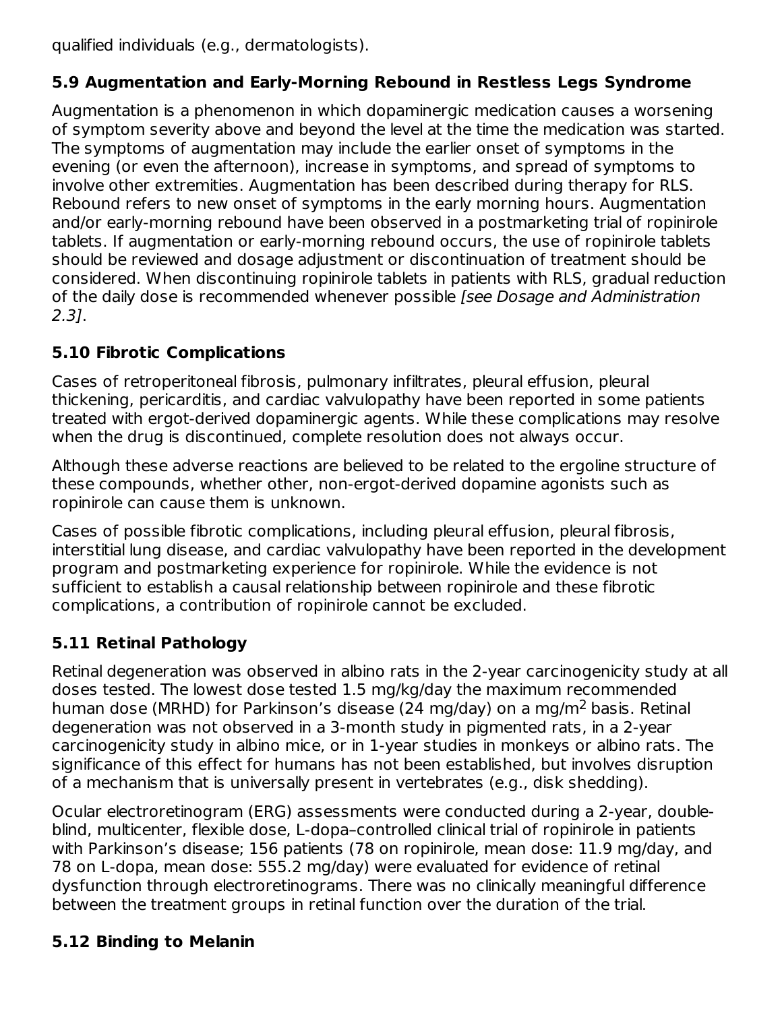qualified individuals (e.g., dermatologists).

## **5.9 Augmentation and Early-Morning Rebound in Restless Legs Syndrome**

Augmentation is a phenomenon in which dopaminergic medication causes a worsening of symptom severity above and beyond the level at the time the medication was started. The symptoms of augmentation may include the earlier onset of symptoms in the evening (or even the afternoon), increase in symptoms, and spread of symptoms to involve other extremities. Augmentation has been described during therapy for RLS. Rebound refers to new onset of symptoms in the early morning hours. Augmentation and/or early-morning rebound have been observed in a postmarketing trial of ropinirole tablets. If augmentation or early-morning rebound occurs, the use of ropinirole tablets should be reviewed and dosage adjustment or discontinuation of treatment should be considered. When discontinuing ropinirole tablets in patients with RLS, gradual reduction of the daily dose is recommended whenever possible [see Dosage and Administration 2.3].

## **5.10 Fibrotic Complications**

Cases of retroperitoneal fibrosis, pulmonary infiltrates, pleural effusion, pleural thickening, pericarditis, and cardiac valvulopathy have been reported in some patients treated with ergot-derived dopaminergic agents. While these complications may resolve when the drug is discontinued, complete resolution does not always occur.

Although these adverse reactions are believed to be related to the ergoline structure of these compounds, whether other, non-ergot-derived dopamine agonists such as ropinirole can cause them is unknown.

Cases of possible fibrotic complications, including pleural effusion, pleural fibrosis, interstitial lung disease, and cardiac valvulopathy have been reported in the development program and postmarketing experience for ropinirole. While the evidence is not sufficient to establish a causal relationship between ropinirole and these fibrotic complications, a contribution of ropinirole cannot be excluded.

## **5.11 Retinal Pathology**

Retinal degeneration was observed in albino rats in the 2-year carcinogenicity study at all doses tested. The lowest dose tested 1.5 mg/kg/day the maximum recommended human dose (MRHD) for Parkinson's disease (24 mg/day) on a mg/m<sup>2</sup> basis. Retinal degeneration was not observed in a 3-month study in pigmented rats, in a 2-year carcinogenicity study in albino mice, or in 1-year studies in monkeys or albino rats. The significance of this effect for humans has not been established, but involves disruption of a mechanism that is universally present in vertebrates (e.g., disk shedding).

Ocular electroretinogram (ERG) assessments were conducted during a 2-year, doubleblind, multicenter, flexible dose, L-dopa–controlled clinical trial of ropinirole in patients with Parkinson's disease; 156 patients (78 on ropinirole, mean dose: 11.9 mg/day, and 78 on L-dopa, mean dose: 555.2 mg/day) were evaluated for evidence of retinal dysfunction through electroretinograms. There was no clinically meaningful difference between the treatment groups in retinal function over the duration of the trial.

## **5.12 Binding to Melanin**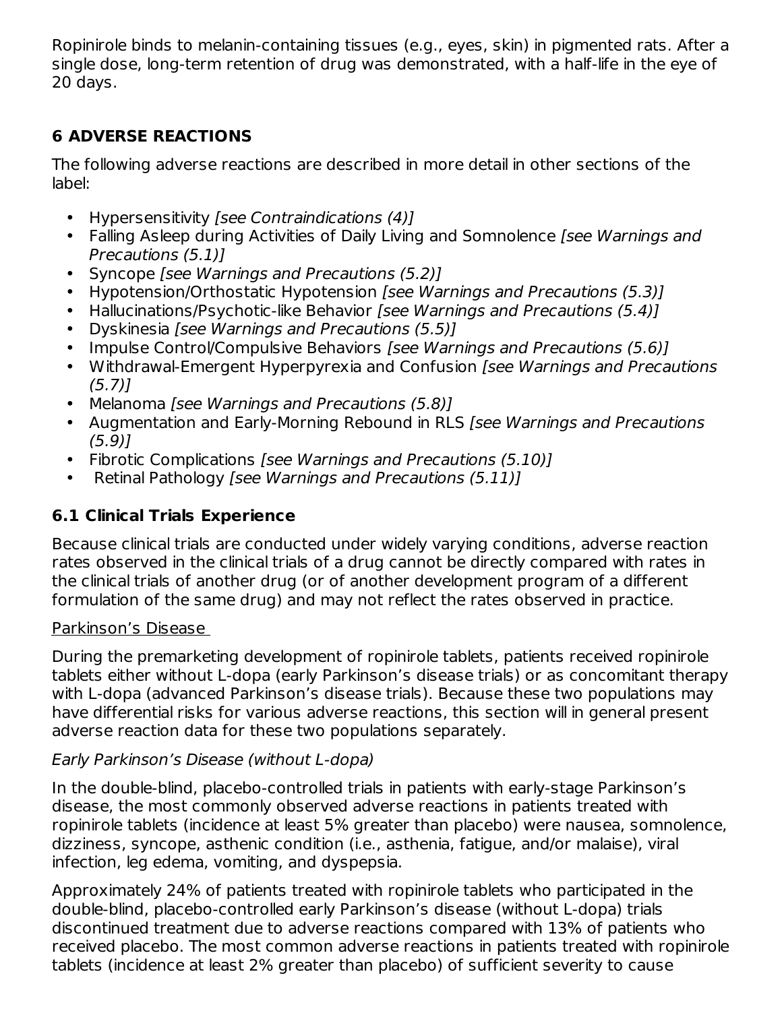Ropinirole binds to melanin-containing tissues (e.g., eyes, skin) in pigmented rats. After a single dose, long-term retention of drug was demonstrated, with a half-life in the eye of 20 days.

## **6 ADVERSE REACTIONS**

The following adverse reactions are described in more detail in other sections of the label:

- Hypersensitivity [see Contraindications (4)]
- Falling Asleep during Activities of Daily Living and Somnolence [see Warnings and Precautions (5.1)]
- Syncope [see Warnings and Precautions (5.2)]
- $\bullet$ Hypotension/Orthostatic Hypotension [see Warnings and Precautions (5.3)]
- Hallucinations/Psychotic-like Behavior [see Warnings and Precautions (5.4)]
- Dyskinesia [see Warnings and Precautions (5.5)]
- Impulse Control/Compulsive Behaviors [see Warnings and Precautions (5.6)]
- Withdrawal-Emergent Hyperpyrexia and Confusion [see Warnings and Precautions  $(5.7)$ ]
- Melanoma [see Warnings and Precautions (5.8)]
- Augmentation and Early-Morning Rebound in RLS [see Warnings and Precautions (5.9)]
- Fibrotic Complications [see Warnings and Precautions (5.10)]
- $\bullet$ Retinal Pathology [see Warnings and Precautions (5.11)]

## **6.1 Clinical Trials Experience**

Because clinical trials are conducted under widely varying conditions, adverse reaction rates observed in the clinical trials of a drug cannot be directly compared with rates in the clinical trials of another drug (or of another development program of a different formulation of the same drug) and may not reflect the rates observed in practice.

#### Parkinson's Disease

During the premarketing development of ropinirole tablets, patients received ropinirole tablets either without L-dopa (early Parkinson's disease trials) or as concomitant therapy with L-dopa (advanced Parkinson's disease trials). Because these two populations may have differential risks for various adverse reactions, this section will in general present adverse reaction data for these two populations separately.

#### Early Parkinson's Disease (without L-dopa)

In the double-blind, placebo-controlled trials in patients with early-stage Parkinson's disease, the most commonly observed adverse reactions in patients treated with ropinirole tablets (incidence at least 5% greater than placebo) were nausea, somnolence, dizziness, syncope, asthenic condition (i.e., asthenia, fatigue, and/or malaise), viral infection, leg edema, vomiting, and dyspepsia.

Approximately 24% of patients treated with ropinirole tablets who participated in the double-blind, placebo-controlled early Parkinson's disease (without L-dopa) trials discontinued treatment due to adverse reactions compared with 13% of patients who received placebo. The most common adverse reactions in patients treated with ropinirole tablets (incidence at least 2% greater than placebo) of sufficient severity to cause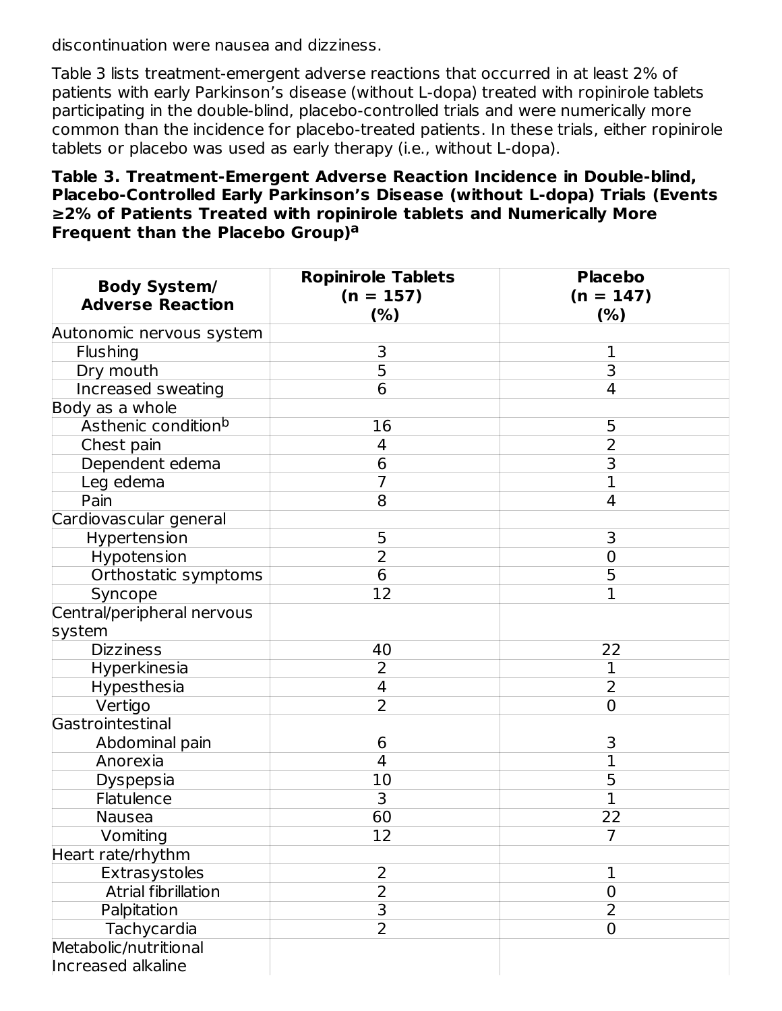discontinuation were nausea and dizziness.

Table 3 lists treatment-emergent adverse reactions that occurred in at least 2% of patients with early Parkinson's disease (without L-dopa) treated with ropinirole tablets participating in the double-blind, placebo-controlled trials and were numerically more common than the incidence for placebo-treated patients. In these trials, either ropinirole tablets or placebo was used as early therapy (i.e., without L-dopa).

#### **Table 3. Treatment-Emergent Adverse Reaction Incidence in Double-blind, Placebo-Controlled Early Parkinson's Disease (without L-dopa) Trials (Events ≥2% of Patients Treated with ropinirole tablets and Numerically More Frequent than the Placebo Group) a**

| <b>Body System/</b>        | <b>Ropinirole Tablets</b> | <b>Placebo</b> |
|----------------------------|---------------------------|----------------|
| <b>Adverse Reaction</b>    | $(n = 157)$               | $(n = 147)$    |
|                            | (% )                      | (% )           |
| Autonomic nervous system   |                           |                |
| <b>Flushing</b>            | 3                         | 1              |
| Dry mouth                  | $\overline{5}$            | 3              |
| Increased sweating         | $\overline{6}$            | 4              |
| Body as a whole            |                           |                |
| Asthenic conditionb        | 16                        | 5              |
| Chest pain                 | 4                         | $\overline{2}$ |
| Dependent edema            | 6                         | 3              |
| Leg edema                  | $\overline{7}$            | $\mathbf 1$    |
| Pain                       | 8                         | 4              |
| Cardiovascular general     |                           |                |
| Hypertension               | 5                         | 3              |
| Hypotension                | $\overline{2}$            | $\mathbf 0$    |
| Orthostatic symptoms       | $\overline{6}$            | 5              |
| Syncope                    | 12                        | $\overline{1}$ |
| Central/peripheral nervous |                           |                |
| system                     |                           |                |
| <b>Dizziness</b>           | 40                        | 22             |
| Hyperkinesia               | 2                         | 1              |
| Hypesthesia                | 4                         | $\overline{2}$ |
| Vertigo                    | 2                         | $\overline{0}$ |
| Gastrointestinal           |                           |                |
| Abdominal pain             | 6                         | 3              |
| Anorexia                   | 4                         | $\overline{1}$ |
| <b>Dyspepsia</b>           | 10                        | 5              |
| Flatulence                 | 3                         | $\overline{1}$ |
| Nausea                     | 60                        | 22             |
| Vomiting                   | 12                        | $\overline{7}$ |
| Heart rate/rhythm          |                           |                |
| Extrasystoles              | 2                         | 1              |
| <b>Atrial fibrillation</b> | $\overline{2}$            | 0              |
| Palpitation                | $\overline{\mathsf{3}}$   | $\overline{2}$ |
| <b>Tachycardia</b>         | $\overline{2}$            | $\overline{0}$ |
| Metabolic/nutritional      |                           |                |
| Increased alkaline         |                           |                |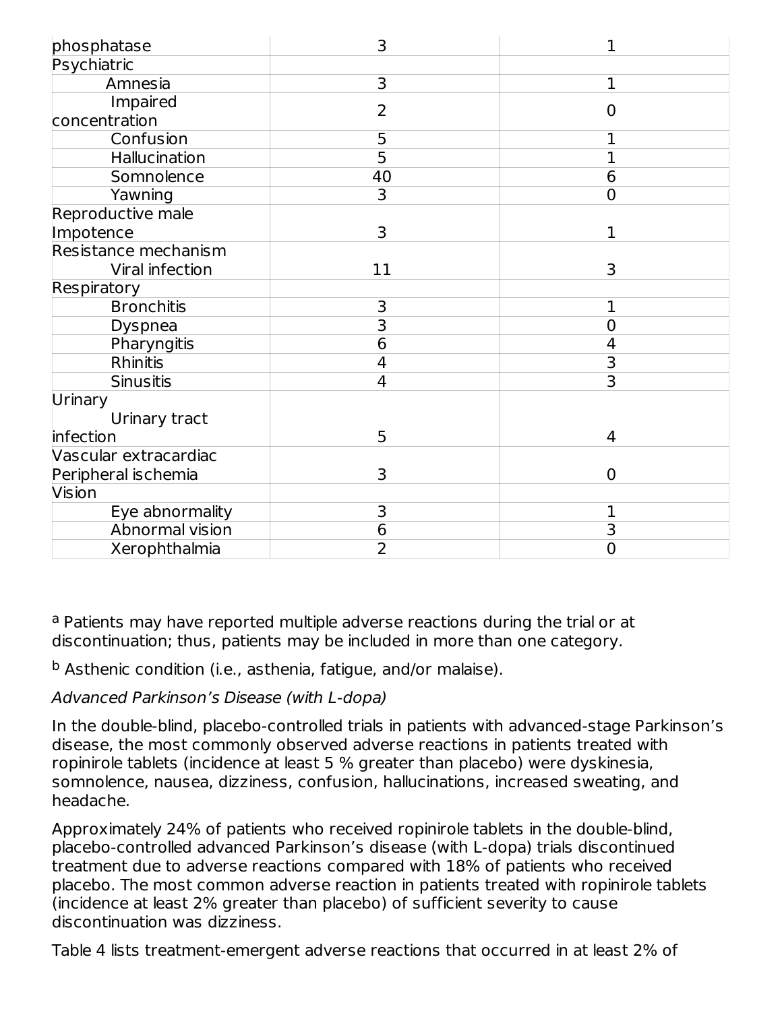| phosphatase               | 3                       | $\overline{1}$          |
|---------------------------|-------------------------|-------------------------|
| Psychiatric               |                         |                         |
| Amnesia                   | $\overline{\mathbf{3}}$ | $\mathbf{1}$            |
| Impaired<br>concentration | $\overline{2}$          | $\overline{0}$          |
| Confusion                 | 5                       | 1                       |
| Hallucination             | $\overline{5}$          | $\overline{1}$          |
| Somnolence                | 40                      | 6                       |
| Yawning                   | $\overline{\mathbf{3}}$ | $\overline{0}$          |
| Reproductive male         |                         |                         |
| Impotence                 | 3                       | $\mathbf{1}$            |
| Resistance mechanism      |                         |                         |
| Viral infection           | 11                      | 3                       |
| Respiratory               |                         |                         |
| <b>Bronchitis</b>         | 3                       | 1                       |
| Dyspnea                   | $\overline{\mathsf{3}}$ | 0                       |
| Pharyngitis               | $\overline{6}$          | 4                       |
| <b>Rhinitis</b>           | 4                       | $\overline{\mathbf{3}}$ |
| <b>Sinusitis</b>          | 4                       | $\overline{\mathsf{B}}$ |
| Urinary                   |                         |                         |
| Urinary tract             |                         |                         |
| infection                 | 5                       | 4                       |
| Vascular extracardiac     |                         |                         |
| Peripheral ischemia       | 3                       | $\overline{0}$          |
| Vision                    |                         |                         |
| Eye abnormality           | 3                       | 1                       |
| Abnormal vision           | $6\phantom{1}6$         | $\overline{\mathsf{B}}$ |
| Xerophthalmia             | 2                       | $\overline{0}$          |

<sup>a</sup> Patients may have reported multiple adverse reactions during the trial or at discontinuation; thus, patients may be included in more than one category.

<sup>b</sup> Asthenic condition (i.e., asthenia, fatigue, and/or malaise).

## Advanced Parkinson's Disease (with L-dopa)

In the double-blind, placebo-controlled trials in patients with advanced-stage Parkinson's disease, the most commonly observed adverse reactions in patients treated with ropinirole tablets (incidence at least 5 % greater than placebo) were dyskinesia, somnolence, nausea, dizziness, confusion, hallucinations, increased sweating, and headache.

Approximately 24% of patients who received ropinirole tablets in the double-blind, placebo-controlled advanced Parkinson's disease (with L-dopa) trials discontinued treatment due to adverse reactions compared with 18% of patients who received placebo. The most common adverse reaction in patients treated with ropinirole tablets (incidence at least 2% greater than placebo) of sufficient severity to cause discontinuation was dizziness.

Table 4 lists treatment-emergent adverse reactions that occurred in at least 2% of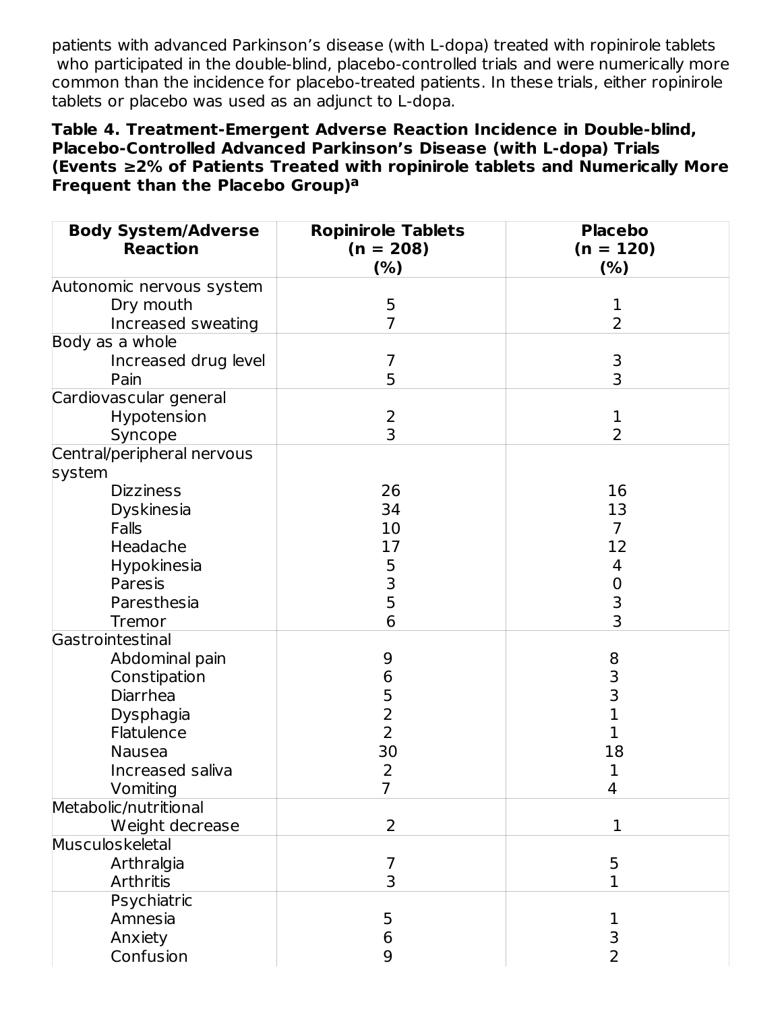patients with advanced Parkinson's disease (with L-dopa) treated with ropinirole tablets who participated in the double-blind, placebo-controlled trials and were numerically more common than the incidence for placebo-treated patients. In these trials, either ropinirole tablets or placebo was used as an adjunct to L-dopa.

#### **Table 4. Treatment-Emergent Adverse Reaction Incidence in Double-blind, Placebo-Controlled Advanced Parkinson's Disease (with L-dopa) Trials (Events ≥2% of Patients Treated with ropinirole tablets and Numerically More Frequent than the Placebo Group) a**

| <b>Body System/Adverse</b> | <b>Ropinirole Tablets</b> | <b>Placebo</b>   |
|----------------------------|---------------------------|------------------|
| <b>Reaction</b>            | $(n = 208)$               | $(n = 120)$      |
|                            | (%)                       | (%)              |
| Autonomic nervous system   |                           |                  |
| Dry mouth                  | 5                         | 1                |
| Increased sweating         | $\overline{7}$            | $\overline{2}$   |
| Body as a whole            |                           |                  |
| Increased drug level       | 7                         | $\frac{3}{3}$    |
| Pain                       | 5                         |                  |
| Cardiovascular general     |                           |                  |
| Hypotension                | 2                         | 1                |
| Syncope                    | 3                         | 2                |
| Central/peripheral nervous |                           |                  |
| system                     |                           |                  |
| <b>Dizziness</b>           | 26                        | 16               |
| <b>Dyskinesia</b>          | 34                        | 13               |
| Falls                      | 10                        | $\overline{7}$   |
| Headache                   | 17                        | 12               |
| Hypokinesia                |                           | 4                |
| Paresis                    | 5<br>3<br>5               | $\boldsymbol{0}$ |
| Paresthesia                |                           | 3                |
| Tremor                     | 6                         | 3                |
| Gastrointestinal           |                           |                  |
| Abdominal pain             | 9                         |                  |
| Constipation               | 6                         | 8<br>3<br>3<br>1 |
| Diarrhea                   | 5                         |                  |
| Dysphagia                  | $\overline{2}$            |                  |
| Flatulence                 | $\overline{2}$            | $\mathbf{1}$     |
| Nausea                     | 30                        | 18               |
| Increased saliva           | $\overline{2}$            | 1                |
| Vomiting                   | 7                         | 4                |
| Metabolic/nutritional      |                           |                  |
| Weight decrease            | $\overline{2}$            | $\mathbf 1$      |
| Musculoskeletal            |                           |                  |
| Arthralgia                 | $\overline{7}$            | 5                |
| Arthritis                  | 3                         | 1                |
| Psychiatric                |                           |                  |
| Amnesia                    | 5                         |                  |
| Anxiety                    | 6                         | 3                |
| Confusion                  | 9                         | $\overline{2}$   |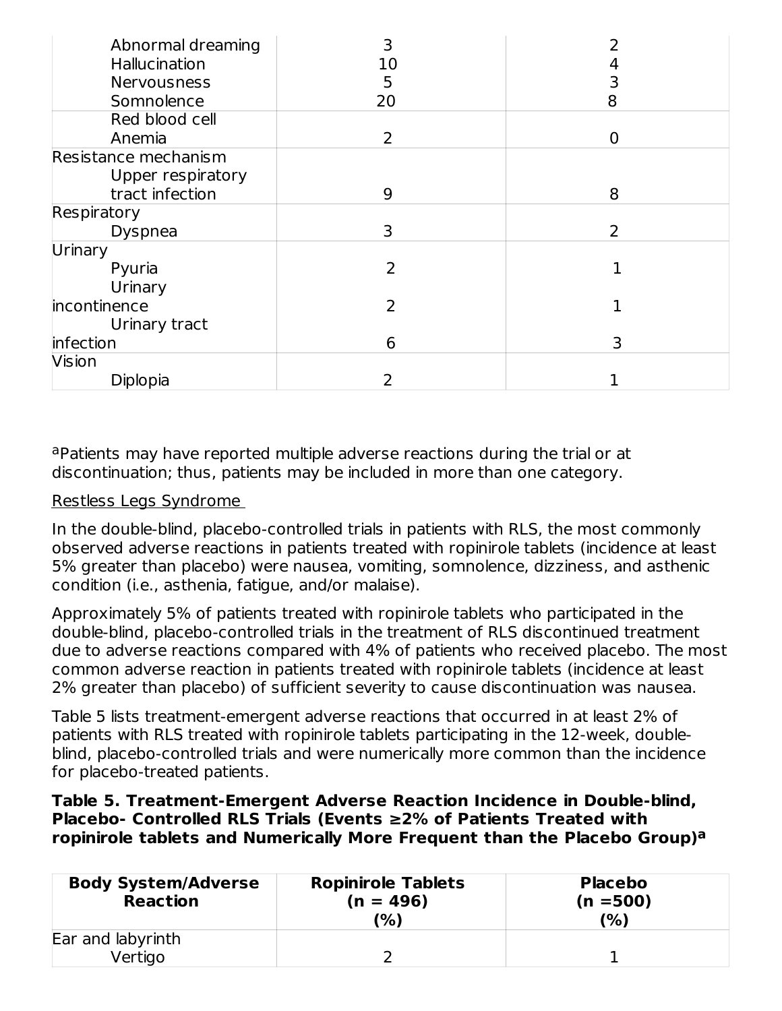| Abnormal dreaming    |    |   |
|----------------------|----|---|
| Hallucination        | 10 |   |
| <b>Nervousness</b>   | 5  |   |
| Somnolence           | 20 | 8 |
| Red blood cell       |    |   |
| Anemia               | 2  | 0 |
| Resistance mechanism |    |   |
| Upper respiratory    |    |   |
| tract infection      | 9  | 8 |
| Respiratory          |    |   |
| Dyspnea              | 3  |   |
| Urinary              |    |   |
| Pyuria               | 2  |   |
| Urinary              |    |   |
| incontinence         |    |   |
| Urinary tract        |    |   |
| infection            | 6  | 3 |
| Vision               |    |   |
| Diplopia             |    |   |

<sup>a</sup>Patients may have reported multiple adverse reactions during the trial or at discontinuation; thus, patients may be included in more than one category.

#### Restless Legs Syndrome

In the double-blind, placebo-controlled trials in patients with RLS, the most commonly observed adverse reactions in patients treated with ropinirole tablets (incidence at least 5% greater than placebo) were nausea, vomiting, somnolence, dizziness, and asthenic condition (i.e., asthenia, fatigue, and/or malaise).

Approximately 5% of patients treated with ropinirole tablets who participated in the double-blind, placebo-controlled trials in the treatment of RLS discontinued treatment due to adverse reactions compared with 4% of patients who received placebo. The most common adverse reaction in patients treated with ropinirole tablets (incidence at least 2% greater than placebo) of sufficient severity to cause discontinuation was nausea.

Table 5 lists treatment-emergent adverse reactions that occurred in at least 2% of patients with RLS treated with ropinirole tablets participating in the 12-week, doubleblind, placebo-controlled trials and were numerically more common than the incidence for placebo-treated patients.

#### **Table 5. Treatment-Emergent Adverse Reaction Incidence in Double-blind, Placebo- Controlled RLS Trials (Events ≥2% of Patients Treated with ropinirole tablets and Numerically More Frequent than the Placebo Group) a**

| <b>Body System/Adverse</b><br><b>Reaction</b> | <b>Ropinirole Tablets</b><br>$(n = 496)$<br>(%) | <b>Placebo</b><br>$(n = 500)$<br>(%) |
|-----------------------------------------------|-------------------------------------------------|--------------------------------------|
| Ear and labyrinth                             |                                                 |                                      |
| Vertigo                                       |                                                 |                                      |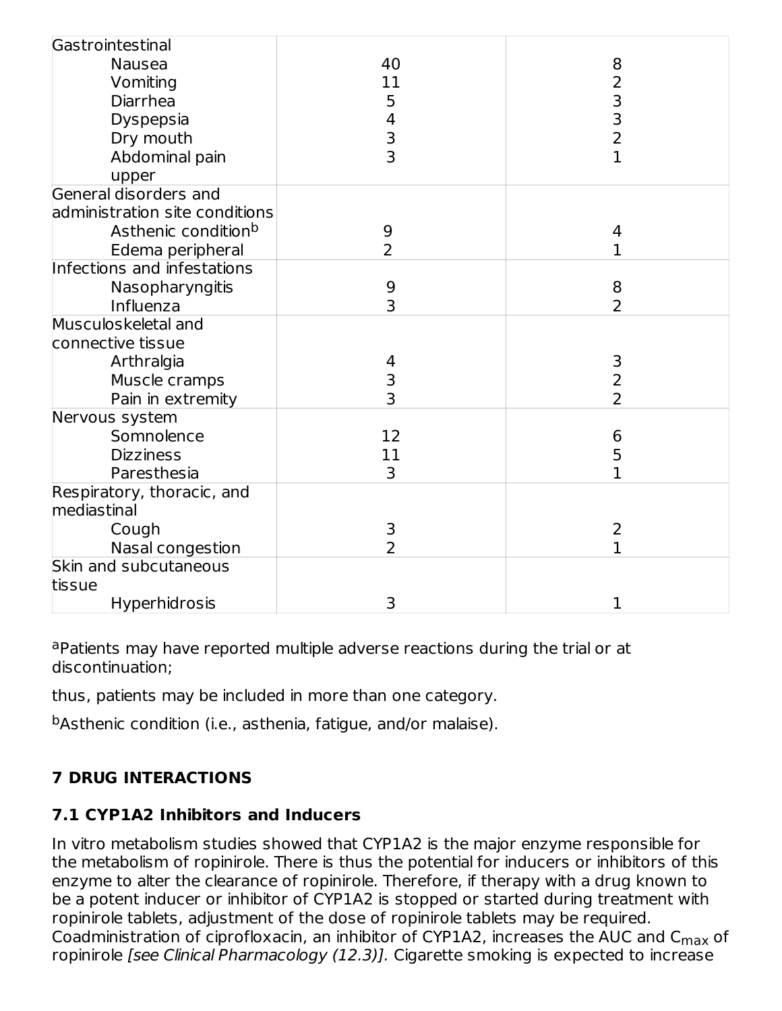| Gastrointestinal<br><b>Nausea</b><br>Vomiting<br>Diarrhea<br>Dyspepsia<br>Dry mouth<br>Abdominal pain | 40<br>11<br>5<br>$\begin{array}{c} 4 \\ 3 \\ 3 \end{array}$ | 8<br>$\begin{array}{c}\n 2 \\ 3 \\ 2\n \end{array}$<br>$\overline{1}$ |
|-------------------------------------------------------------------------------------------------------|-------------------------------------------------------------|-----------------------------------------------------------------------|
| upper                                                                                                 |                                                             |                                                                       |
| General disorders and<br>administration site conditions<br>Asthenic conditionb<br>Edema peripheral    | 9<br>$\overline{2}$                                         | 4<br>1                                                                |
| Infections and infestations                                                                           |                                                             |                                                                       |
| Nasopharyngitis                                                                                       | 9<br>3                                                      | 8<br>$\overline{2}$                                                   |
| Influenza<br>Musculoskeletal and                                                                      |                                                             |                                                                       |
| connective tissue                                                                                     |                                                             |                                                                       |
|                                                                                                       |                                                             |                                                                       |
| Arthralgia<br>Muscle cramps                                                                           | 4<br>3                                                      | $\frac{3}{2}$                                                         |
| Pain in extremity                                                                                     | 3                                                           | $\overline{2}$                                                        |
| Nervous system                                                                                        |                                                             |                                                                       |
| Somnolence                                                                                            | 12                                                          | 6                                                                     |
| <b>Dizziness</b>                                                                                      | 11                                                          | 5                                                                     |
| Paresthesia                                                                                           | 3                                                           | $\mathbf{1}$                                                          |
| Respiratory, thoracic, and                                                                            |                                                             |                                                                       |
| mediastinal                                                                                           |                                                             |                                                                       |
| Cough                                                                                                 | 3                                                           | 2                                                                     |
| Nasal congestion                                                                                      | $\overline{2}$                                              | $\mathbf{1}$                                                          |
| Skin and subcutaneous                                                                                 |                                                             |                                                                       |
| tissue                                                                                                |                                                             |                                                                       |
| <b>Hyperhidrosis</b>                                                                                  | 3                                                           | 1                                                                     |

a Patients may have reported multiple adverse reactions during the trial or at discontinuation;

thus, patients may be included in more than one category.

<sup>b</sup>Asthenic condition (i.e., asthenia, fatigue, and/or malaise).

## **7 DRUG INTERACTIONS**

## **7.1 CYP1A2 Inhibitors and Inducers**

In vitro metabolism studies showed that CYP1A2 is the major enzyme responsible for the metabolism of ropinirole. There is thus the potential for inducers or inhibitors of this enzyme to alter the clearance of ropinirole. Therefore, if therapy with a drug known to be a potent inducer or inhibitor of CYP1A2 is stopped or started during treatment with ropinirole tablets, adjustment of the dose of ropinirole tablets may be required. Coadministration of ciprofloxacin, an inhibitor of CYP1A2, increases the AUC and  $\mathsf{C}_{\mathsf{max}}$  of ropinirole [see Clinical Pharmacology (12.3)]. Cigarette smoking is expected to increase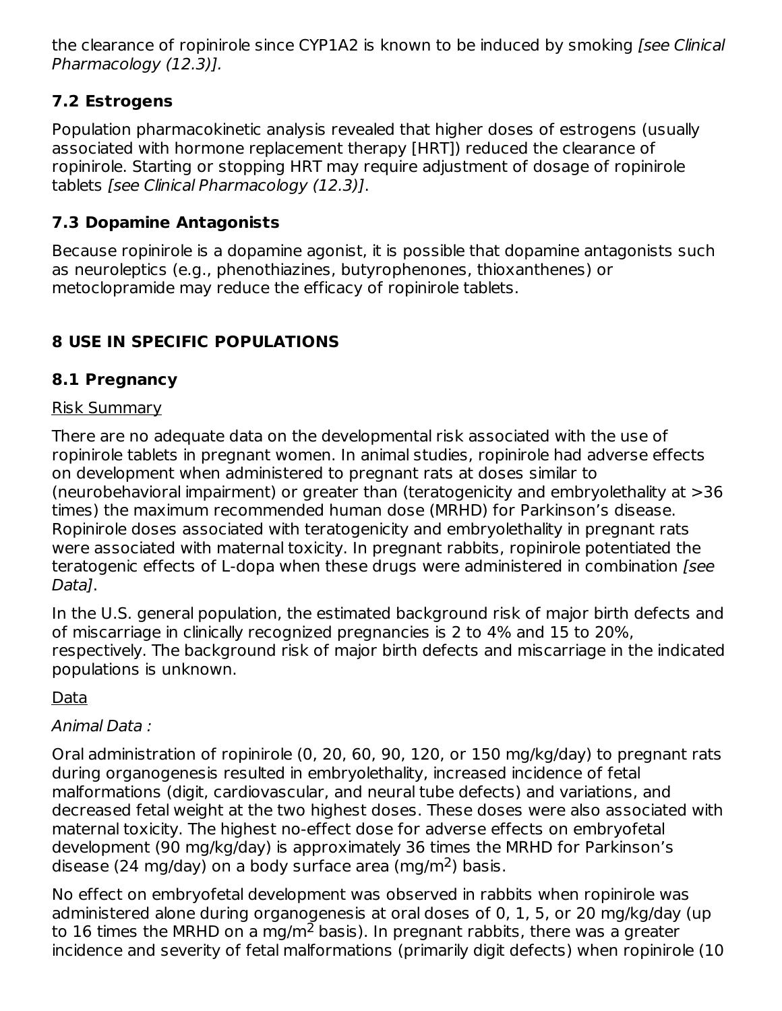the clearance of ropinirole since CYP1A2 is known to be induced by smoking [see Clinical Pharmacology (12.3)].

## **7.2 Estrogens**

Population pharmacokinetic analysis revealed that higher doses of estrogens (usually associated with hormone replacement therapy [HRT]) reduced the clearance of ropinirole. Starting or stopping HRT may require adjustment of dosage of ropinirole tablets [see Clinical Pharmacology (12.3)].

## **7.3 Dopamine Antagonists**

Because ropinirole is a dopamine agonist, it is possible that dopamine antagonists such as neuroleptics (e.g., phenothiazines, butyrophenones, thioxanthenes) or metoclopramide may reduce the efficacy of ropinirole tablets.

## **8 USE IN SPECIFIC POPULATIONS**

## **8.1 Pregnancy**

## Risk Summary

There are no adequate data on the developmental risk associated with the use of ropinirole tablets in pregnant women. In animal studies, ropinirole had adverse effects on development when administered to pregnant rats at doses similar to (neurobehavioral impairment) or greater than (teratogenicity and embryolethality at >36 times) the maximum recommended human dose (MRHD) for Parkinson's disease. Ropinirole doses associated with teratogenicity and embryolethality in pregnant rats were associated with maternal toxicity. In pregnant rabbits, ropinirole potentiated the teratogenic effects of L-dopa when these drugs were administered in combination [see Data].

In the U.S. general population, the estimated background risk of major birth defects and of miscarriage in clinically recognized pregnancies is 2 to 4% and 15 to 20%, respectively. The background risk of major birth defects and miscarriage in the indicated populations is unknown.

Data

## Animal Data :

Oral administration of ropinirole (0, 20, 60, 90, 120, or 150 mg/kg/day) to pregnant rats during organogenesis resulted in embryolethality, increased incidence of fetal malformations (digit, cardiovascular, and neural tube defects) and variations, and decreased fetal weight at the two highest doses. These doses were also associated with maternal toxicity. The highest no-effect dose for adverse effects on embryofetal development (90 mg/kg/day) is approximately 36 times the MRHD for Parkinson's disease (24 mg/day) on a body surface area (mg/m<sup>2</sup>) basis.

No effect on embryofetal development was observed in rabbits when ropinirole was administered alone during organogenesis at oral doses of 0, 1, 5, or 20 mg/kg/day (up to 16 times the MRHD on a mg/m<sup>2</sup> basis). In pregnant rabbits, there was a greater incidence and severity of fetal malformations (primarily digit defects) when ropinirole (10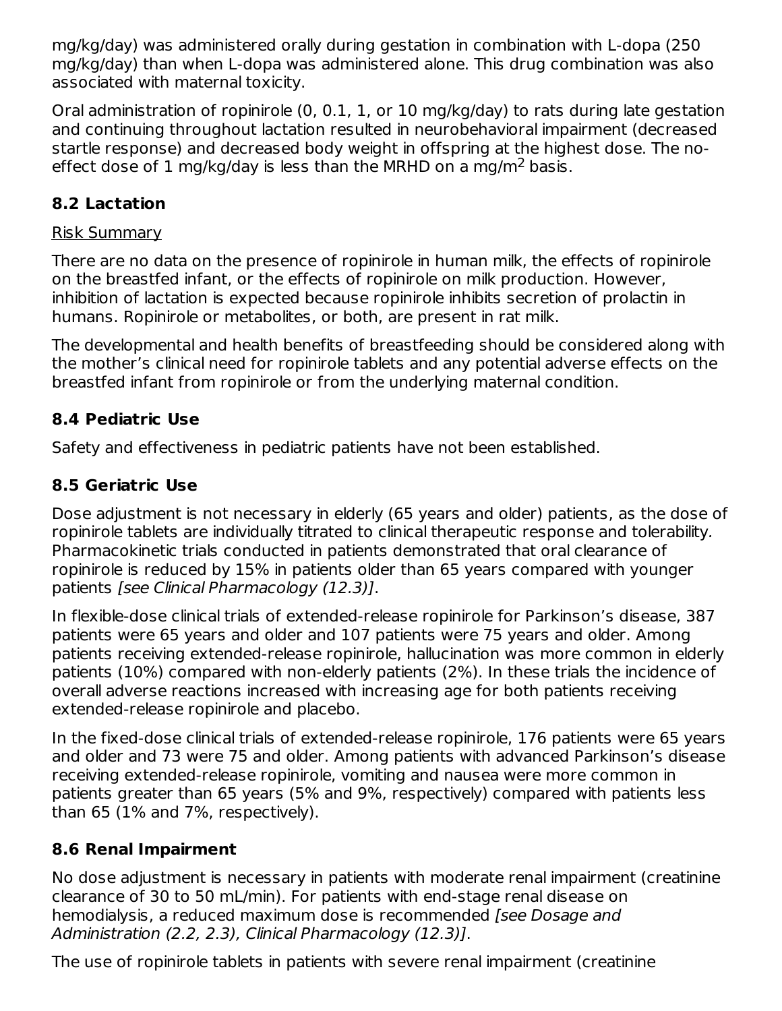mg/kg/day) was administered orally during gestation in combination with L-dopa (250 mg/kg/day) than when L-dopa was administered alone. This drug combination was also associated with maternal toxicity.

Oral administration of ropinirole (0, 0.1, 1, or 10 mg/kg/day) to rats during late gestation and continuing throughout lactation resulted in neurobehavioral impairment (decreased startle response) and decreased body weight in offspring at the highest dose. The noeffect dose of 1 mg/kg/day is less than the MRHD on a mg/m<sup>2</sup> basis.

## **8.2 Lactation**

## Risk Summary

There are no data on the presence of ropinirole in human milk, the effects of ropinirole on the breastfed infant, or the effects of ropinirole on milk production. However, inhibition of lactation is expected because ropinirole inhibits secretion of prolactin in humans. Ropinirole or metabolites, or both, are present in rat milk.

The developmental and health benefits of breastfeeding should be considered along with the mother's clinical need for ropinirole tablets and any potential adverse effects on the breastfed infant from ropinirole or from the underlying maternal condition.

## **8.4 Pediatric Use**

Safety and effectiveness in pediatric patients have not been established.

## **8.5 Geriatric Use**

Dose adjustment is not necessary in elderly (65 years and older) patients, as the dose of ropinirole tablets are individually titrated to clinical therapeutic response and tolerability. Pharmacokinetic trials conducted in patients demonstrated that oral clearance of ropinirole is reduced by 15% in patients older than 65 years compared with younger patients [see Clinical Pharmacology (12.3)].

In flexible-dose clinical trials of extended-release ropinirole for Parkinson's disease, 387 patients were 65 years and older and 107 patients were 75 years and older. Among patients receiving extended-release ropinirole, hallucination was more common in elderly patients (10%) compared with non-elderly patients (2%). In these trials the incidence of overall adverse reactions increased with increasing age for both patients receiving extended-release ropinirole and placebo.

In the fixed-dose clinical trials of extended-release ropinirole, 176 patients were 65 years and older and 73 were 75 and older. Among patients with advanced Parkinson's disease receiving extended-release ropinirole, vomiting and nausea were more common in patients greater than 65 years (5% and 9%, respectively) compared with patients less than 65 (1% and 7%, respectively).

## **8.6 Renal Impairment**

No dose adjustment is necessary in patients with moderate renal impairment (creatinine clearance of 30 to 50 mL/min). For patients with end-stage renal disease on hemodialysis, a reduced maximum dose is recommended *[see Dosage and* Administration (2.2, 2.3), Clinical Pharmacology (12.3)].

The use of ropinirole tablets in patients with severe renal impairment (creatinine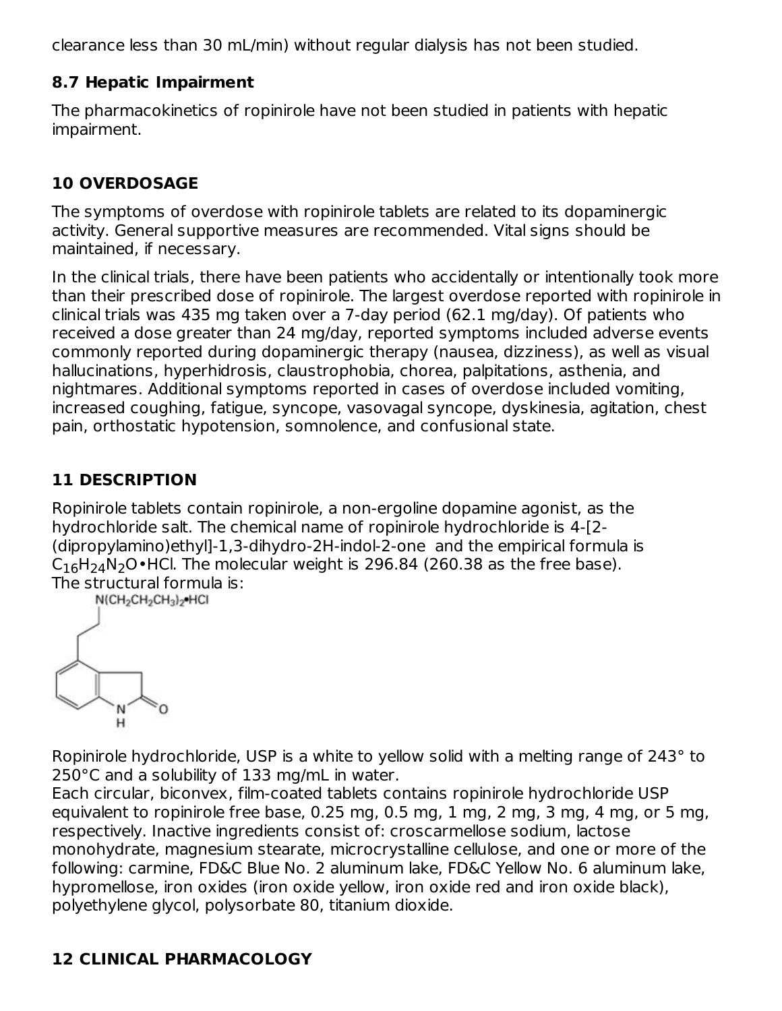clearance less than 30 mL/min) without regular dialysis has not been studied.

## **8.7 Hepatic Impairment**

The pharmacokinetics of ropinirole have not been studied in patients with hepatic impairment.

## **10 OVERDOSAGE**

The symptoms of overdose with ropinirole tablets are related to its dopaminergic activity. General supportive measures are recommended. Vital signs should be maintained, if necessary.

In the clinical trials, there have been patients who accidentally or intentionally took more than their prescribed dose of ropinirole. The largest overdose reported with ropinirole in clinical trials was 435 mg taken over a 7-day period (62.1 mg/day). Of patients who received a dose greater than 24 mg/day, reported symptoms included adverse events commonly reported during dopaminergic therapy (nausea, dizziness), as well as visual hallucinations, hyperhidrosis, claustrophobia, chorea, palpitations, asthenia, and nightmares. Additional symptoms reported in cases of overdose included vomiting, increased coughing, fatigue, syncope, vasovagal syncope, dyskinesia, agitation, chest pain, orthostatic hypotension, somnolence, and confusional state.

## **11 DESCRIPTION**

Ropinirole tablets contain ropinirole, a non-ergoline dopamine agonist, as the hydrochloride salt. The chemical name of ropinirole hydrochloride is 4-[2- (dipropylamino)ethyl]-1,3-dihydro-2H-indol-2-one and the empirical formula is  $\mathsf{C}_{16}\mathsf{H}_{24}\mathsf{N}_{2}\mathsf{O}\bullet$ HCl. The molecular weight is 296.84 (260.38 as the free base). The structural formula is:<br> $NCH_2CH_2CH_2HCl$ 



Ropinirole hydrochloride, USP is a white to yellow solid with a melting range of 243° to 250°C and a solubility of 133 mg/mL in water.

Each circular, biconvex, film-coated tablets contains ropinirole hydrochloride USP equivalent to ropinirole free base, 0.25 mg, 0.5 mg, 1 mg, 2 mg, 3 mg, 4 mg, or 5 mg, respectively. Inactive ingredients consist of: croscarmellose sodium, lactose monohydrate, magnesium stearate, microcrystalline cellulose, and one or more of the following: carmine, FD&C Blue No. 2 aluminum lake, FD&C Yellow No. 6 aluminum lake, hypromellose, iron oxides (iron oxide yellow, iron oxide red and iron oxide black), polyethylene glycol, polysorbate 80, titanium dioxide.

## **12 CLINICAL PHARMACOLOGY**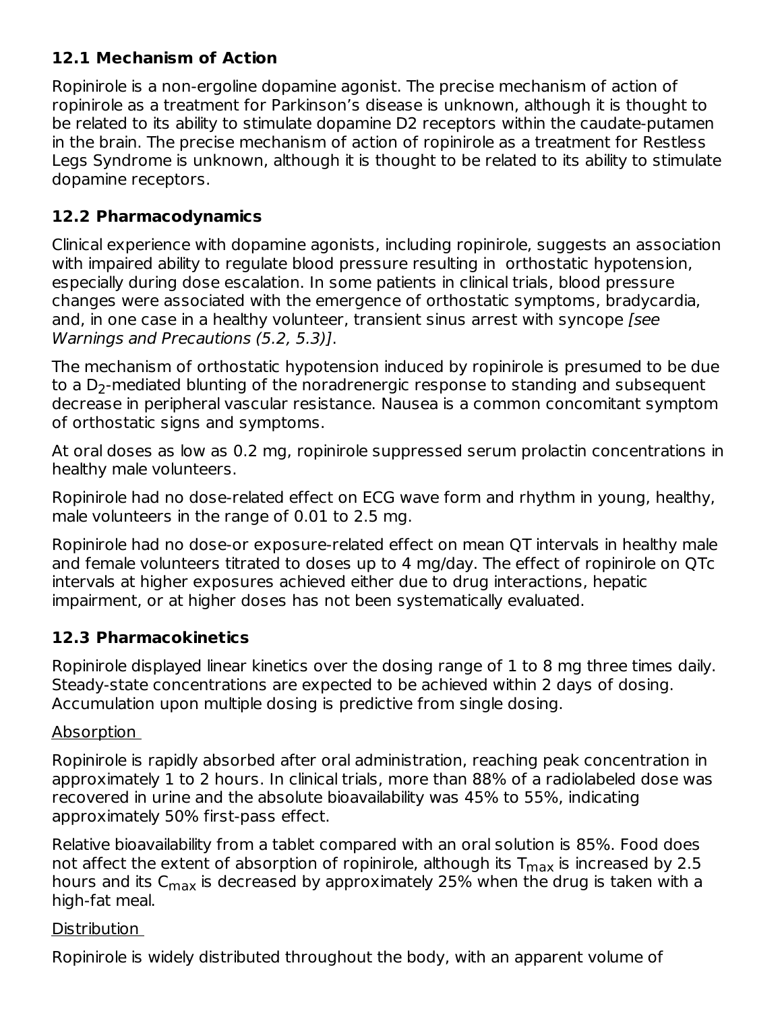## **12.1 Mechanism of Action**

Ropinirole is a non-ergoline dopamine agonist. The precise mechanism of action of ropinirole as a treatment for Parkinson's disease is unknown, although it is thought to be related to its ability to stimulate dopamine D2 receptors within the caudate-putamen in the brain. The precise mechanism of action of ropinirole as a treatment for Restless Legs Syndrome is unknown, although it is thought to be related to its ability to stimulate dopamine receptors.

## **12.2 Pharmacodynamics**

Clinical experience with dopamine agonists, including ropinirole, suggests an association with impaired ability to regulate blood pressure resulting in orthostatic hypotension, especially during dose escalation. In some patients in clinical trials, blood pressure changes were associated with the emergence of orthostatic symptoms, bradycardia, and, in one case in a healthy volunteer, transient sinus arrest with syncope [see Warnings and Precautions (5.2, 5.3)].

The mechanism of orthostatic hypotension induced by ropinirole is presumed to be due to a  $\mathsf{D}_2$ -mediated blunting of the noradrenergic response to standing and subsequent decrease in peripheral vascular resistance. Nausea is a common concomitant symptom of orthostatic signs and symptoms.

At oral doses as low as 0.2 mg, ropinirole suppressed serum prolactin concentrations in healthy male volunteers.

Ropinirole had no dose-related effect on ECG wave form and rhythm in young, healthy, male volunteers in the range of 0.01 to 2.5 mg.

Ropinirole had no dose-or exposure-related effect on mean QT intervals in healthy male and female volunteers titrated to doses up to 4 mg/day. The effect of ropinirole on QTc intervals at higher exposures achieved either due to drug interactions, hepatic impairment, or at higher doses has not been systematically evaluated.

## **12.3 Pharmacokinetics**

Ropinirole displayed linear kinetics over the dosing range of 1 to 8 mg three times daily. Steady-state concentrations are expected to be achieved within 2 days of dosing. Accumulation upon multiple dosing is predictive from single dosing.

#### Absorption

Ropinirole is rapidly absorbed after oral administration, reaching peak concentration in approximately 1 to 2 hours. In clinical trials, more than 88% of a radiolabeled dose was recovered in urine and the absolute bioavailability was 45% to 55%, indicating approximately 50% first-pass effect.

Relative bioavailability from a tablet compared with an oral solution is 85%. Food does not affect the extent of absorption of ropinirole, although its  $\mathsf{T}_{\mathsf{max}}$  is increased by 2.5 hours and its C<sub>max</sub> is decreased by approximately 25% when the drug is taken with a high-fat meal.

#### Distribution

Ropinirole is widely distributed throughout the body, with an apparent volume of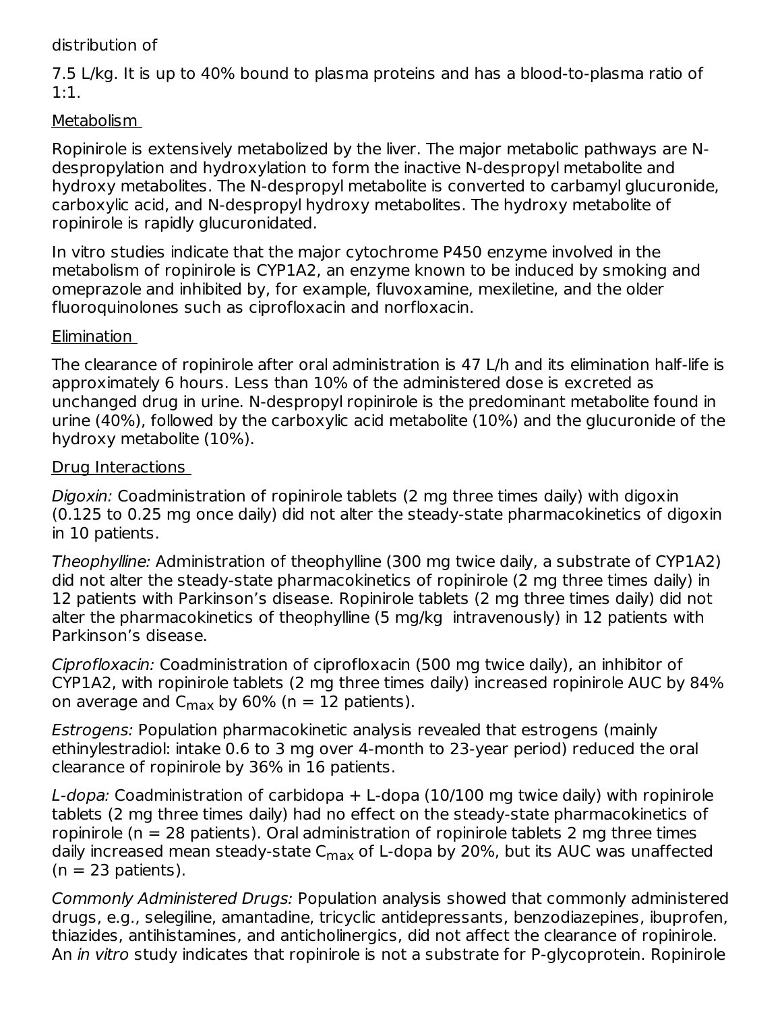#### distribution of

7.5 L/kg. It is up to 40% bound to plasma proteins and has a blood-to-plasma ratio of 1:1.

#### Metabolism

Ropinirole is extensively metabolized by the liver. The major metabolic pathways are Ndespropylation and hydroxylation to form the inactive N-despropyl metabolite and hydroxy metabolites. The N-despropyl metabolite is converted to carbamyl glucuronide, carboxylic acid, and N-despropyl hydroxy metabolites. The hydroxy metabolite of ropinirole is rapidly glucuronidated.

In vitro studies indicate that the major cytochrome P450 enzyme involved in the metabolism of ropinirole is CYP1A2, an enzyme known to be induced by smoking and omeprazole and inhibited by, for example, fluvoxamine, mexiletine, and the older fluoroquinolones such as ciprofloxacin and norfloxacin.

#### Elimination

The clearance of ropinirole after oral administration is 47 L/h and its elimination half-life is approximately 6 hours. Less than 10% of the administered dose is excreted as unchanged drug in urine. N-despropyl ropinirole is the predominant metabolite found in urine (40%), followed by the carboxylic acid metabolite (10%) and the glucuronide of the hydroxy metabolite (10%).

#### Drug Interactions

Digoxin: Coadministration of ropinirole tablets (2 mg three times daily) with digoxin (0.125 to 0.25 mg once daily) did not alter the steady-state pharmacokinetics of digoxin in 10 patients.

Theophylline: Administration of theophylline (300 mg twice daily, a substrate of CYP1A2) did not alter the steady-state pharmacokinetics of ropinirole (2 mg three times daily) in 12 patients with Parkinson's disease. Ropinirole tablets (2 mg three times daily) did not alter the pharmacokinetics of theophylline (5 mg/kg intravenously) in 12 patients with Parkinson's disease.

Ciprofloxacin: Coadministration of ciprofloxacin (500 mg twice daily), an inhibitor of CYP1A2, with ropinirole tablets (2 mg three times daily) increased ropinirole AUC by 84% on average and C $_{\sf max}$  by 60% (n = 12 patients).

Estrogens: Population pharmacokinetic analysis revealed that estrogens (mainly ethinylestradiol: intake 0.6 to 3 mg over 4-month to 23-year period) reduced the oral clearance of ropinirole by 36% in 16 patients.

L-dopa: Coadministration of carbidopa  $+$  L-dopa (10/100 mg twice daily) with ropinirole tablets (2 mg three times daily) had no effect on the steady-state pharmacokinetics of ropinirole ( $n = 28$  patients). Oral administration of ropinirole tablets 2 mg three times daily increased mean steady-state C<sub>max</sub> of L-dopa by 20%, but its AUC was unaffected  $(n = 23$  patients).

Commonly Administered Drugs: Population analysis showed that commonly administered drugs, e.g., selegiline, amantadine, tricyclic antidepressants, benzodiazepines, ibuprofen, thiazides, antihistamines, and anticholinergics, did not affect the clearance of ropinirole. An *in vitro* study indicates that ropinirole is not a substrate for P-glycoprotein. Ropinirole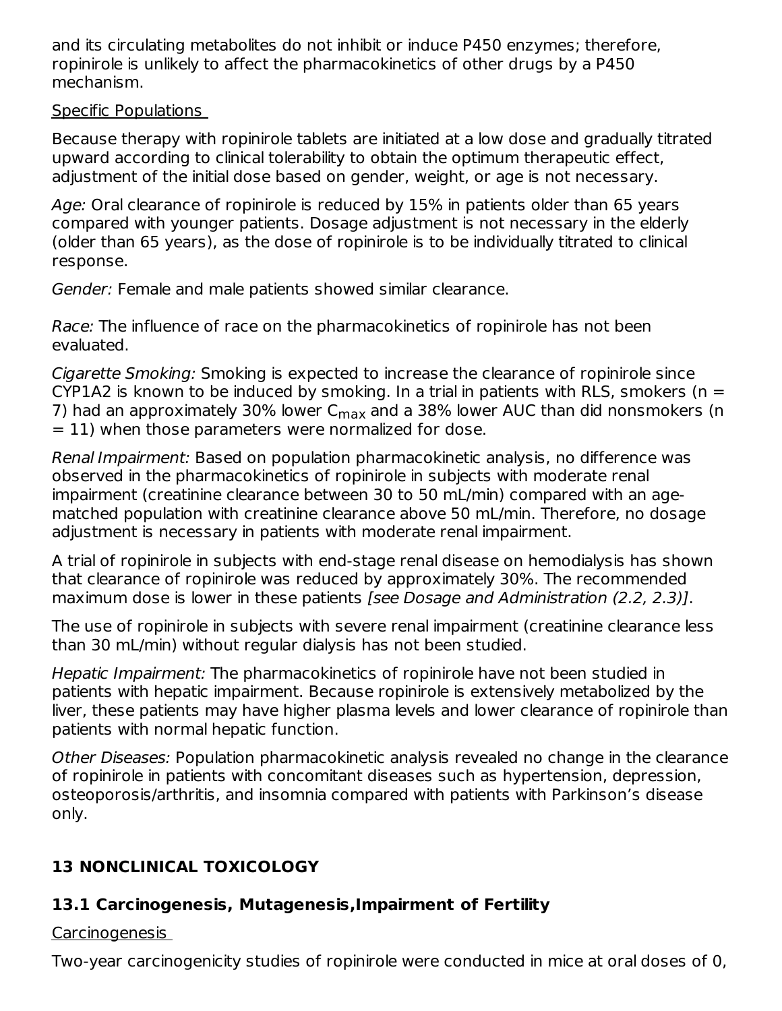and its circulating metabolites do not inhibit or induce P450 enzymes; therefore, ropinirole is unlikely to affect the pharmacokinetics of other drugs by a P450 mechanism.

#### Specific Populations

Because therapy with ropinirole tablets are initiated at a low dose and gradually titrated upward according to clinical tolerability to obtain the optimum therapeutic effect, adjustment of the initial dose based on gender, weight, or age is not necessary.

Age: Oral clearance of ropinirole is reduced by 15% in patients older than 65 years compared with younger patients. Dosage adjustment is not necessary in the elderly (older than 65 years), as the dose of ropinirole is to be individually titrated to clinical response.

Gender: Female and male patients showed similar clearance.

Race: The influence of race on the pharmacokinetics of ropinirole has not been evaluated.

Cigarette Smoking: Smoking is expected to increase the clearance of ropinirole since CYP1A2 is known to be induced by smoking. In a trial in patients with RLS, smokers ( $n =$ 7) had an approximately 30% lower C<sub>max</sub> and a 38% lower AUC than did nonsmokers (n  $= 11$ ) when those parameters were normalized for dose.

Renal Impairment: Based on population pharmacokinetic analysis, no difference was observed in the pharmacokinetics of ropinirole in subjects with moderate renal impairment (creatinine clearance between 30 to 50 mL/min) compared with an agematched population with creatinine clearance above 50 mL/min. Therefore, no dosage adjustment is necessary in patients with moderate renal impairment.

A trial of ropinirole in subjects with end-stage renal disease on hemodialysis has shown that clearance of ropinirole was reduced by approximately 30%. The recommended maximum dose is lower in these patients [see Dosage and Administration (2.2, 2.3)].

The use of ropinirole in subjects with severe renal impairment (creatinine clearance less than 30 mL/min) without regular dialysis has not been studied.

Hepatic Impairment: The pharmacokinetics of ropinirole have not been studied in patients with hepatic impairment. Because ropinirole is extensively metabolized by the liver, these patients may have higher plasma levels and lower clearance of ropinirole than patients with normal hepatic function.

Other Diseases: Population pharmacokinetic analysis revealed no change in the clearance of ropinirole in patients with concomitant diseases such as hypertension, depression, osteoporosis/arthritis, and insomnia compared with patients with Parkinson's disease only.

## **13 NONCLINICAL TOXICOLOGY**

## **13.1 Carcinogenesis, Mutagenesis,Impairment of Fertility**

Carcinogenesis

Two-year carcinogenicity studies of ropinirole were conducted in mice at oral doses of 0,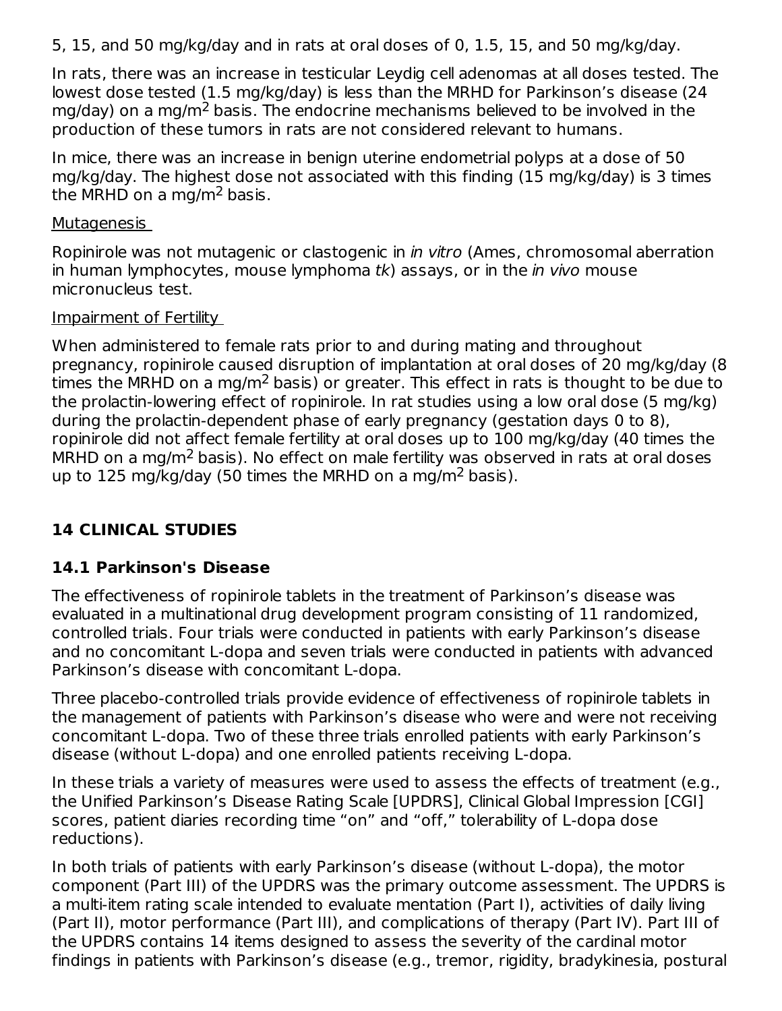5, 15, and 50 mg/kg/day and in rats at oral doses of 0, 1.5, 15, and 50 mg/kg/day.

In rats, there was an increase in testicular Leydig cell adenomas at all doses tested. The lowest dose tested (1.5 mg/kg/day) is less than the MRHD for Parkinson's disease (24 mg/day) on a mg/m<sup>2</sup> basis. The endocrine mechanisms believed to be involved in the production of these tumors in rats are not considered relevant to humans.

In mice, there was an increase in benign uterine endometrial polyps at a dose of 50 mg/kg/day. The highest dose not associated with this finding (15 mg/kg/day) is 3 times the MRHD on a mg/m<sup>2</sup> basis.

#### Mutagenesis

Ropinirole was not mutagenic or clastogenic in in vitro (Ames, chromosomal aberration in human lymphocytes, mouse lymphoma  $tk$ ) assays, or in the *in vivo* mouse micronucleus test.

#### Impairment of Fertility

When administered to female rats prior to and during mating and throughout pregnancy, ropinirole caused disruption of implantation at oral doses of 20 mg/kg/day (8 times the MRHD on a mg/m<sup>2</sup> basis) or greater. This effect in rats is thought to be due to the prolactin-lowering effect of ropinirole. In rat studies using a low oral dose (5 mg/kg) during the prolactin-dependent phase of early pregnancy (gestation days 0 to 8), ropinirole did not affect female fertility at oral doses up to 100 mg/kg/day (40 times the MRHD on a mg/m<sup>2</sup> basis). No effect on male fertility was observed in rats at oral doses up to 125 mg/kg/day (50 times the MRHD on a mg/m<sup>2</sup> basis).

## **14 CLINICAL STUDIES**

## **14.1 Parkinson's Disease**

The effectiveness of ropinirole tablets in the treatment of Parkinson's disease was evaluated in a multinational drug development program consisting of 11 randomized, controlled trials. Four trials were conducted in patients with early Parkinson's disease and no concomitant L-dopa and seven trials were conducted in patients with advanced Parkinson's disease with concomitant L-dopa.

Three placebo-controlled trials provide evidence of effectiveness of ropinirole tablets in the management of patients with Parkinson's disease who were and were not receiving concomitant L-dopa. Two of these three trials enrolled patients with early Parkinson's disease (without L-dopa) and one enrolled patients receiving L-dopa.

In these trials a variety of measures were used to assess the effects of treatment (e.g., the Unified Parkinson's Disease Rating Scale [UPDRS], Clinical Global Impression [CGI] scores, patient diaries recording time "on" and "off," tolerability of L-dopa dose reductions).

In both trials of patients with early Parkinson's disease (without L-dopa), the motor component (Part III) of the UPDRS was the primary outcome assessment. The UPDRS is a multi-item rating scale intended to evaluate mentation (Part I), activities of daily living (Part II), motor performance (Part III), and complications of therapy (Part IV). Part III of the UPDRS contains 14 items designed to assess the severity of the cardinal motor findings in patients with Parkinson's disease (e.g., tremor, rigidity, bradykinesia, postural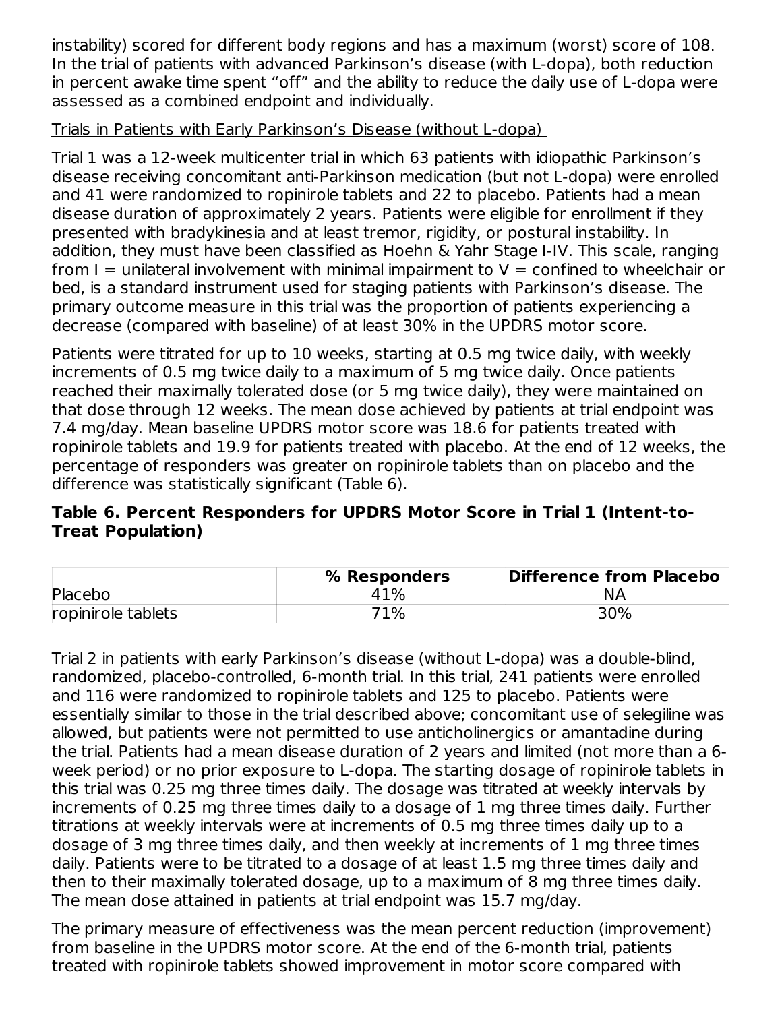instability) scored for different body regions and has a maximum (worst) score of 108. In the trial of patients with advanced Parkinson's disease (with L-dopa), both reduction in percent awake time spent "off" and the ability to reduce the daily use of L-dopa were assessed as a combined endpoint and individually.

#### Trials in Patients with Early Parkinson's Disease (without L-dopa)

Trial 1 was a 12-week multicenter trial in which 63 patients with idiopathic Parkinson's disease receiving concomitant anti-Parkinson medication (but not L-dopa) were enrolled and 41 were randomized to ropinirole tablets and 22 to placebo. Patients had a mean disease duration of approximately 2 years. Patients were eligible for enrollment if they presented with bradykinesia and at least tremor, rigidity, or postural instability. In addition, they must have been classified as Hoehn & Yahr Stage I-IV. This scale, ranging from  $I =$  unilateral involvement with minimal impairment to  $V =$  confined to wheelchair or bed, is a standard instrument used for staging patients with Parkinson's disease. The primary outcome measure in this trial was the proportion of patients experiencing a decrease (compared with baseline) of at least 30% in the UPDRS motor score.

Patients were titrated for up to 10 weeks, starting at 0.5 mg twice daily, with weekly increments of 0.5 mg twice daily to a maximum of 5 mg twice daily. Once patients reached their maximally tolerated dose (or 5 mg twice daily), they were maintained on that dose through 12 weeks. The mean dose achieved by patients at trial endpoint was 7.4 mg/day. Mean baseline UPDRS motor score was 18.6 for patients treated with ropinirole tablets and 19.9 for patients treated with placebo. At the end of 12 weeks, the percentage of responders was greater on ropinirole tablets than on placebo and the difference was statistically significant (Table 6).

#### **Table 6. Percent Responders for UPDRS Motor Score in Trial 1 (Intent-to-Treat Population)**

|                    | % Responders | Difference from Placebo |
|--------------------|--------------|-------------------------|
| Placebo            | 41%          | NΑ                      |
| ropinirole tablets | 71%          | 30%                     |

Trial 2 in patients with early Parkinson's disease (without L-dopa) was a double-blind, randomized, placebo-controlled, 6-month trial. In this trial, 241 patients were enrolled and 116 were randomized to ropinirole tablets and 125 to placebo. Patients were essentially similar to those in the trial described above; concomitant use of selegiline was allowed, but patients were not permitted to use anticholinergics or amantadine during the trial. Patients had a mean disease duration of 2 years and limited (not more than a 6 week period) or no prior exposure to L-dopa. The starting dosage of ropinirole tablets in this trial was 0.25 mg three times daily. The dosage was titrated at weekly intervals by increments of 0.25 mg three times daily to a dosage of 1 mg three times daily. Further titrations at weekly intervals were at increments of 0.5 mg three times daily up to a dosage of 3 mg three times daily, and then weekly at increments of 1 mg three times daily. Patients were to be titrated to a dosage of at least 1.5 mg three times daily and then to their maximally tolerated dosage, up to a maximum of 8 mg three times daily. The mean dose attained in patients at trial endpoint was 15.7 mg/day.

The primary measure of effectiveness was the mean percent reduction (improvement) from baseline in the UPDRS motor score. At the end of the 6-month trial, patients treated with ropinirole tablets showed improvement in motor score compared with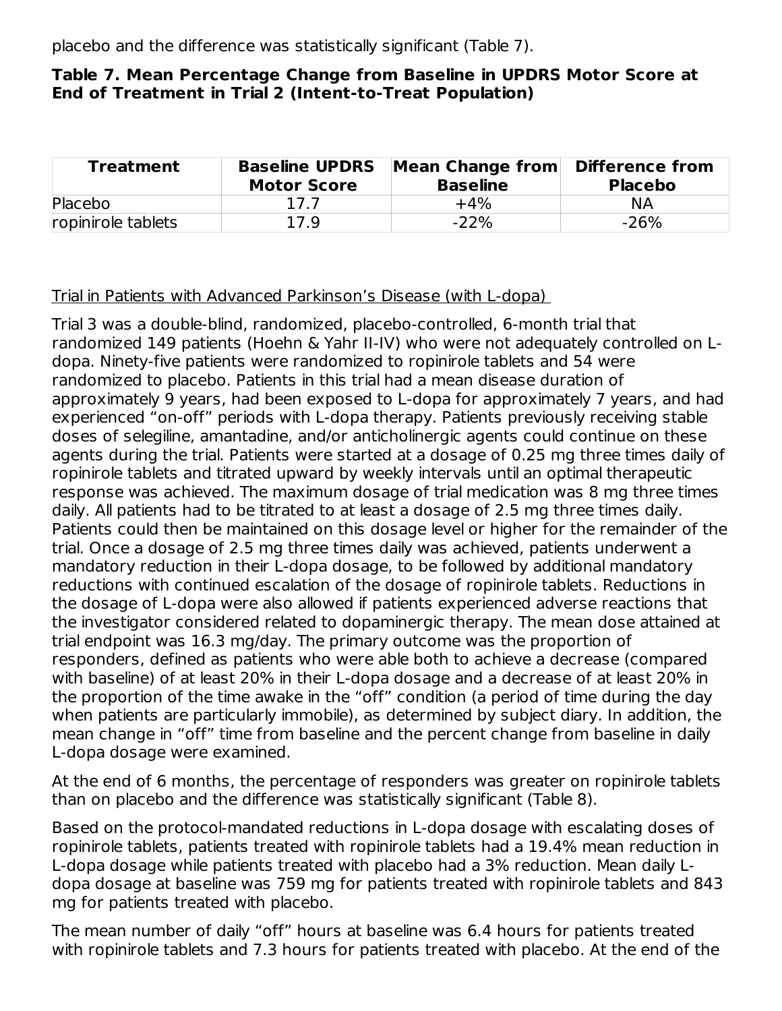placebo and the difference was statistically significant (Table 7).

#### **Table 7. Mean Percentage Change from Baseline in UPDRS Motor Score at End of Treatment in Trial 2 (Intent-to-Treat Population)**

| <b>Treatment</b>   | <b>Baseline UPDRS</b><br><b>Motor Score</b> | Mean Change from Difference from<br><b>Baseline</b> | <b>Placebo</b> |
|--------------------|---------------------------------------------|-----------------------------------------------------|----------------|
| Placebo            | 17.7                                        | $+4%$                                               | <b>NA</b>      |
| ropinirole tablets | 17.9                                        | $-22%$                                              | $-26%$         |

#### Trial in Patients with Advanced Parkinson's Disease (with L-dopa)

Trial 3 was a double-blind, randomized, placebo-controlled, 6-month trial that randomized 149 patients (Hoehn & Yahr II-IV) who were not adequately controlled on Ldopa. Ninety-five patients were randomized to ropinirole tablets and 54 were randomized to placebo. Patients in this trial had a mean disease duration of approximately 9 years, had been exposed to L-dopa for approximately 7 years, and had experienced "on-off" periods with L-dopa therapy. Patients previously receiving stable doses of selegiline, amantadine, and/or anticholinergic agents could continue on these agents during the trial. Patients were started at a dosage of 0.25 mg three times daily of ropinirole tablets and titrated upward by weekly intervals until an optimal therapeutic response was achieved. The maximum dosage of trial medication was 8 mg three times daily. All patients had to be titrated to at least a dosage of 2.5 mg three times daily. Patients could then be maintained on this dosage level or higher for the remainder of the trial. Once a dosage of 2.5 mg three times daily was achieved, patients underwent a mandatory reduction in their L-dopa dosage, to be followed by additional mandatory reductions with continued escalation of the dosage of ropinirole tablets. Reductions in the dosage of L-dopa were also allowed if patients experienced adverse reactions that the investigator considered related to dopaminergic therapy. The mean dose attained at trial endpoint was 16.3 mg/day. The primary outcome was the proportion of responders, defined as patients who were able both to achieve a decrease (compared with baseline) of at least 20% in their L-dopa dosage and a decrease of at least 20% in the proportion of the time awake in the "off" condition (a period of time during the day when patients are particularly immobile), as determined by subject diary. In addition, the mean change in "off" time from baseline and the percent change from baseline in daily L-dopa dosage were examined.

At the end of 6 months, the percentage of responders was greater on ropinirole tablets than on placebo and the difference was statistically significant (Table 8).

Based on the protocol-mandated reductions in L-dopa dosage with escalating doses of ropinirole tablets, patients treated with ropinirole tablets had a 19.4% mean reduction in L-dopa dosage while patients treated with placebo had a 3% reduction. Mean daily Ldopa dosage at baseline was 759 mg for patients treated with ropinirole tablets and 843 mg for patients treated with placebo.

The mean number of daily "off" hours at baseline was 6.4 hours for patients treated with ropinirole tablets and 7.3 hours for patients treated with placebo. At the end of the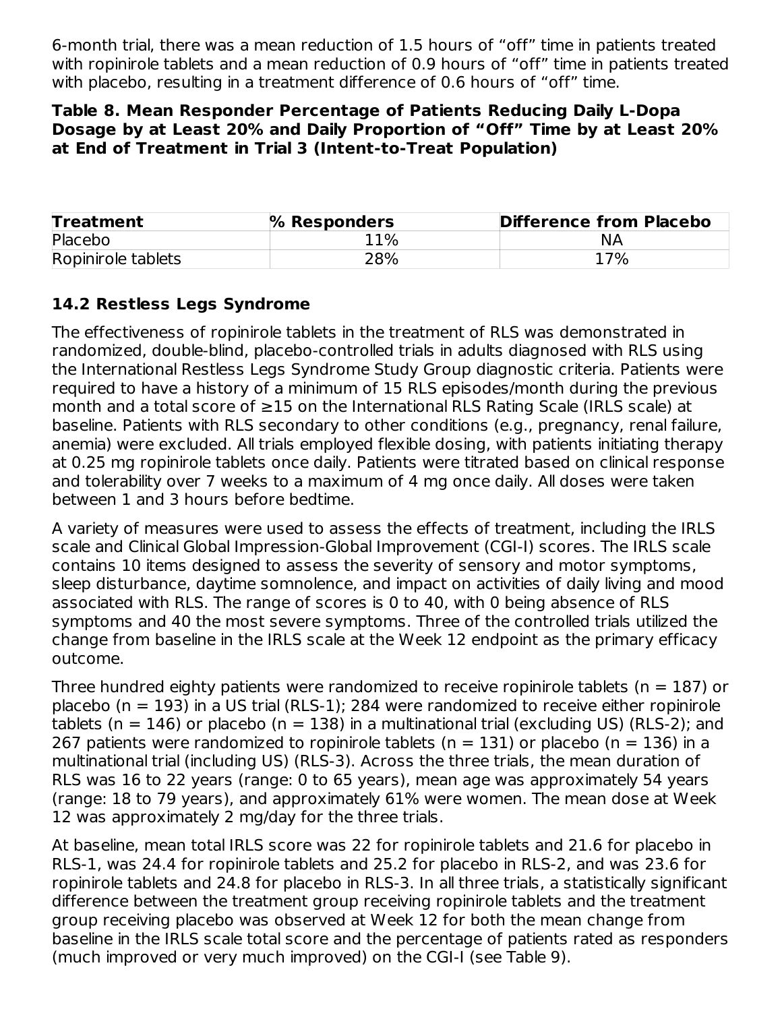6-month trial, there was a mean reduction of 1.5 hours of "off" time in patients treated with ropinirole tablets and a mean reduction of 0.9 hours of "off" time in patients treated with placebo, resulting in a treatment difference of 0.6 hours of "off" time.

#### **Table 8. Mean Responder Percentage of Patients Reducing Daily L-Dopa Dosage by at Least 20% and Daily Proportion of "Off" Time by at Least 20% at End of Treatment in Trial 3 (Intent-to-Treat Population)**

| <b>Treatment</b>   | % Responders | <b>Difference from Placebo</b> |
|--------------------|--------------|--------------------------------|
| Placebo            | 11%          | NА                             |
| Ropinirole tablets | 28%          | 17%                            |

## **14.2 Restless Legs Syndrome**

The effectiveness of ropinirole tablets in the treatment of RLS was demonstrated in randomized, double-blind, placebo-controlled trials in adults diagnosed with RLS using the International Restless Legs Syndrome Study Group diagnostic criteria. Patients were required to have a history of a minimum of 15 RLS episodes/month during the previous month and a total score of ≥15 on the International RLS Rating Scale (IRLS scale) at baseline. Patients with RLS secondary to other conditions (e.g., pregnancy, renal failure, anemia) were excluded. All trials employed flexible dosing, with patients initiating therapy at 0.25 mg ropinirole tablets once daily. Patients were titrated based on clinical response and tolerability over 7 weeks to a maximum of 4 mg once daily. All doses were taken between 1 and 3 hours before bedtime.

A variety of measures were used to assess the effects of treatment, including the IRLS scale and Clinical Global Impression-Global Improvement (CGI-I) scores. The IRLS scale contains 10 items designed to assess the severity of sensory and motor symptoms, sleep disturbance, daytime somnolence, and impact on activities of daily living and mood associated with RLS. The range of scores is 0 to 40, with 0 being absence of RLS symptoms and 40 the most severe symptoms. Three of the controlled trials utilized the change from baseline in the IRLS scale at the Week 12 endpoint as the primary efficacy outcome.

Three hundred eighty patients were randomized to receive ropinirole tablets ( $n = 187$ ) or placebo ( $n = 193$ ) in a US trial (RLS-1); 284 were randomized to receive either ropinirole tablets (n = 146) or placebo (n = 138) in a multinational trial (excluding US) (RLS-2); and 267 patients were randomized to ropinirole tablets ( $n = 131$ ) or placebo ( $n = 136$ ) in a multinational trial (including US) (RLS-3). Across the three trials, the mean duration of RLS was 16 to 22 years (range: 0 to 65 years), mean age was approximately 54 years (range: 18 to 79 years), and approximately 61% were women. The mean dose at Week 12 was approximately 2 mg/day for the three trials.

At baseline, mean total IRLS score was 22 for ropinirole tablets and 21.6 for placebo in RLS-1, was 24.4 for ropinirole tablets and 25.2 for placebo in RLS-2, and was 23.6 for ropinirole tablets and 24.8 for placebo in RLS-3. In all three trials, a statistically significant difference between the treatment group receiving ropinirole tablets and the treatment group receiving placebo was observed at Week 12 for both the mean change from baseline in the IRLS scale total score and the percentage of patients rated as responders (much improved or very much improved) on the CGI-I (see Table 9).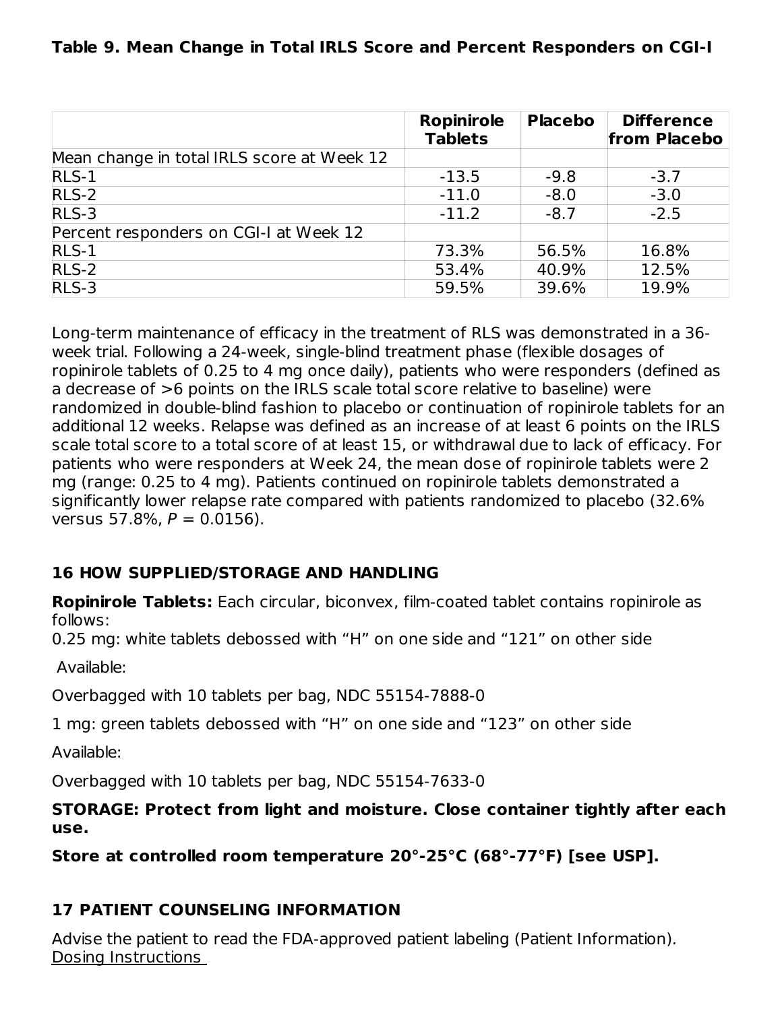## **Table 9. Mean Change in Total IRLS Score and Percent Responders on CGI-I**

|                                            | <b>Ropinirole</b><br><b>Tablets</b> | <b>Placebo</b> | <b>Difference</b><br>from Placebo |
|--------------------------------------------|-------------------------------------|----------------|-----------------------------------|
| Mean change in total IRLS score at Week 12 |                                     |                |                                   |
| $RLS-1$                                    | $-13.5$                             | $-9.8$         | $-3.7$                            |
| $RLS-2$                                    | $-11.0$                             | $-8.0$         | $-3.0$                            |
| $RLS-3$                                    | $-11.2$                             | $-8.7$         | $-2.5$                            |
| Percent responders on CGI-I at Week 12     |                                     |                |                                   |
| $RLS-1$                                    | 73.3%                               | 56.5%          | 16.8%                             |
| $RLS-2$                                    | 53.4%                               | 40.9%          | 12.5%                             |
| $RLS-3$                                    | 59.5%                               | 39.6%          | 19.9%                             |

Long-term maintenance of efficacy in the treatment of RLS was demonstrated in a 36 week trial. Following a 24-week, single-blind treatment phase (flexible dosages of ropinirole tablets of 0.25 to 4 mg once daily), patients who were responders (defined as a decrease of >6 points on the IRLS scale total score relative to baseline) were randomized in double-blind fashion to placebo or continuation of ropinirole tablets for an additional 12 weeks. Relapse was defined as an increase of at least 6 points on the IRLS scale total score to a total score of at least 15, or withdrawal due to lack of efficacy. For patients who were responders at Week 24, the mean dose of ropinirole tablets were 2 mg (range: 0.25 to 4 mg). Patients continued on ropinirole tablets demonstrated a significantly lower relapse rate compared with patients randomized to placebo (32.6% versus 57.8%,  $P = 0.0156$ ).

## **16 HOW SUPPLIED/STORAGE AND HANDLING**

**Ropinirole Tablets:** Each circular, biconvex, film-coated tablet contains ropinirole as follows:

0.25 mg: white tablets debossed with "H" on one side and "121" on other side

Available:

Overbagged with 10 tablets per bag, NDC 55154-7888-0

1 mg: green tablets debossed with "H" on one side and "123" on other side

Available:

Overbagged with 10 tablets per bag, NDC 55154-7633-0

**STORAGE: Protect from light and moisture. Close container tightly after each use.**

**Store at controlled room temperature 20°-25°C (68°-77°F) [see USP].**

## **17 PATIENT COUNSELING INFORMATION**

Advise the patient to read the FDA-approved patient labeling (Patient Information). Dosing Instructions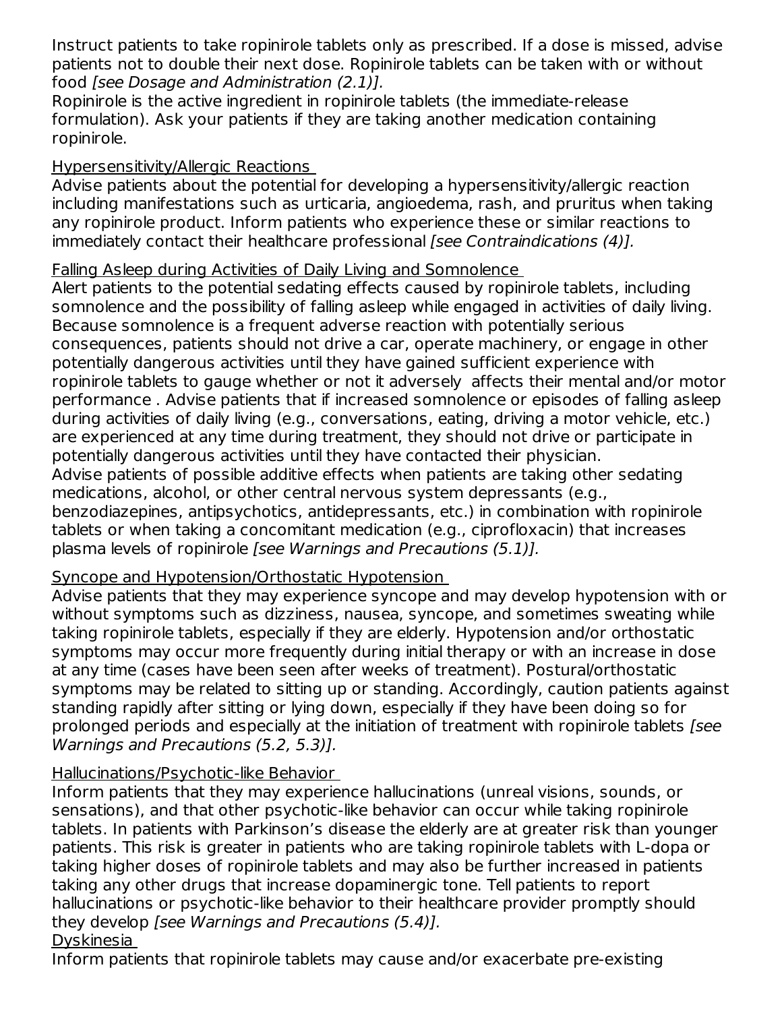Instruct patients to take ropinirole tablets only as prescribed. If a dose is missed, advise patients not to double their next dose. Ropinirole tablets can be taken with or without food [see Dosage and Administration (2.1)].

Ropinirole is the active ingredient in ropinirole tablets (the immediate-release formulation). Ask your patients if they are taking another medication containing ropinirole.

#### Hypersensitivity/Allergic Reactions

Advise patients about the potential for developing a hypersensitivity/allergic reaction including manifestations such as urticaria, angioedema, rash, and pruritus when taking any ropinirole product. Inform patients who experience these or similar reactions to immediately contact their healthcare professional *[see Contraindications (4)]*.

#### Falling Asleep during Activities of Daily Living and Somnolence

Alert patients to the potential sedating effects caused by ropinirole tablets, including somnolence and the possibility of falling asleep while engaged in activities of daily living. Because somnolence is a frequent adverse reaction with potentially serious consequences, patients should not drive a car, operate machinery, or engage in other potentially dangerous activities until they have gained sufficient experience with ropinirole tablets to gauge whether or not it adversely affects their mental and/or motor performance . Advise patients that if increased somnolence or episodes of falling asleep during activities of daily living (e.g., conversations, eating, driving a motor vehicle, etc.) are experienced at any time during treatment, they should not drive or participate in potentially dangerous activities until they have contacted their physician. Advise patients of possible additive effects when patients are taking other sedating medications, alcohol, or other central nervous system depressants (e.g., benzodiazepines, antipsychotics, antidepressants, etc.) in combination with ropinirole tablets or when taking a concomitant medication (e.g., ciprofloxacin) that increases plasma levels of ropinirole [see Warnings and Precautions (5.1)].

## Syncope and Hypotension/Orthostatic Hypotension

Advise patients that they may experience syncope and may develop hypotension with or without symptoms such as dizziness, nausea, syncope, and sometimes sweating while taking ropinirole tablets, especially if they are elderly. Hypotension and/or orthostatic symptoms may occur more frequently during initial therapy or with an increase in dose at any time (cases have been seen after weeks of treatment). Postural/orthostatic symptoms may be related to sitting up or standing. Accordingly, caution patients against standing rapidly after sitting or lying down, especially if they have been doing so for prolonged periods and especially at the initiation of treatment with ropinirole tablets [see Warnings and Precautions (5.2, 5.3)].

## Hallucinations/Psychotic-like Behavior

Inform patients that they may experience hallucinations (unreal visions, sounds, or sensations), and that other psychotic-like behavior can occur while taking ropinirole tablets. In patients with Parkinson's disease the elderly are at greater risk than younger patients. This risk is greater in patients who are taking ropinirole tablets with L-dopa or taking higher doses of ropinirole tablets and may also be further increased in patients taking any other drugs that increase dopaminergic tone. Tell patients to report hallucinations or psychotic-like behavior to their healthcare provider promptly should they develop [see Warnings and Precautions (5.4)]. Dyskinesia

Inform patients that ropinirole tablets may cause and/or exacerbate pre-existing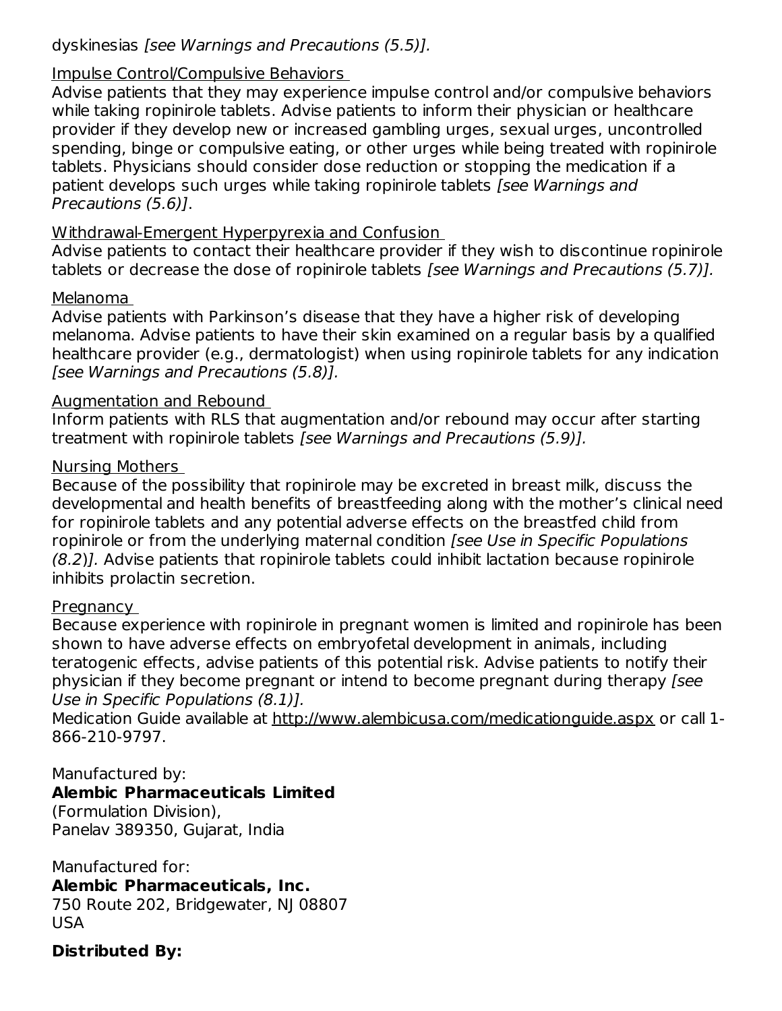## dyskinesias [see Warnings and Precautions (5.5)].

#### Impulse Control/Compulsive Behaviors

Advise patients that they may experience impulse control and/or compulsive behaviors while taking ropinirole tablets. Advise patients to inform their physician or healthcare provider if they develop new or increased gambling urges, sexual urges, uncontrolled spending, binge or compulsive eating, or other urges while being treated with ropinirole tablets. Physicians should consider dose reduction or stopping the medication if a patient develops such urges while taking ropinirole tablets [see Warnings and Precautions (5.6)].

#### Withdrawal-Emergent Hyperpyrexia and Confusion

Advise patients to contact their healthcare provider if they wish to discontinue ropinirole tablets or decrease the dose of ropinirole tablets [see Warnings and Precautions (5.7)].

#### Melanoma

Advise patients with Parkinson's disease that they have a higher risk of developing melanoma. Advise patients to have their skin examined on a regular basis by a qualified healthcare provider (e.g., dermatologist) when using ropinirole tablets for any indication [see Warnings and Precautions (5.8)].

#### Augmentation and Rebound

Inform patients with RLS that augmentation and/or rebound may occur after starting treatment with ropinirole tablets [see Warnings and Precautions (5.9)].

#### Nursing Mothers

Because of the possibility that ropinirole may be excreted in breast milk, discuss the developmental and health benefits of breastfeeding along with the mother's clinical need for ropinirole tablets and any potential adverse effects on the breastfed child from ropinirole or from the underlying maternal condition [see Use in Specific Populations (8.2)]. Advise patients that ropinirole tablets could inhibit lactation because ropinirole inhibits prolactin secretion.

#### Pregnancy

Because experience with ropinirole in pregnant women is limited and ropinirole has been shown to have adverse effects on embryofetal development in animals, including teratogenic effects, advise patients of this potential risk. Advise patients to notify their physician if they become pregnant or intend to become pregnant during therapy [see Use in Specific Populations (8.1)].

Medication Guide available at http://www.alembicusa.com/medicationguide.aspx or call 1- 866-210-9797.

#### Manufactured by:

#### **Alembic Pharmaceuticals Limited**

(Formulation Division), Panelav 389350, Gujarat, India

Manufactured for:

#### **Alembic Pharmaceuticals, Inc.**

750 Route 202, Bridgewater, NJ 08807 USA

#### **Distributed By:**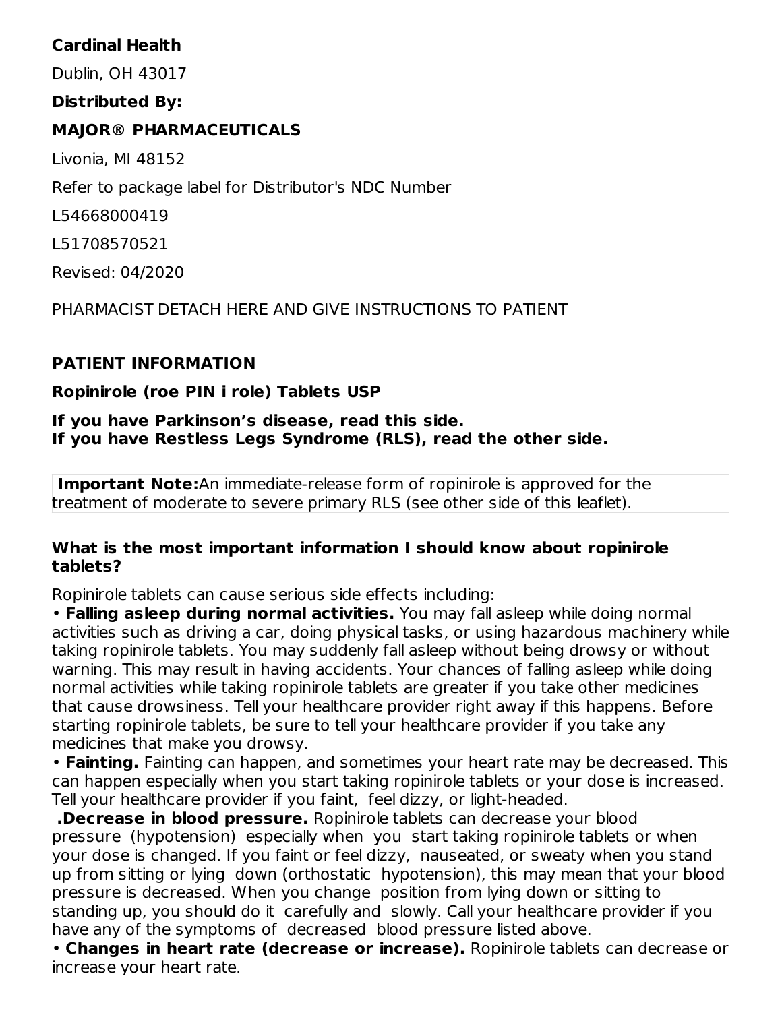## **Cardinal Health**

Dublin, OH 43017

**Distributed By:**

#### **MAJOR® PHARMACEUTICALS**

Livonia, MI 48152

Refer to package label for Distributor's NDC Number

L54668000419

L51708570521

Revised: 04/2020

PHARMACIST DETACH HERE AND GIVE INSTRUCTIONS TO PATIENT

## **PATIENT INFORMATION**

## **Ropinirole (roe PIN i role) Tablets USP**

**If you have Parkinson's disease, read this side. If you have Restless Legs Syndrome (RLS), read the other side.**

**Important Note:**An immediate-release form of ropinirole is approved for the treatment of moderate to severe primary RLS (see other side of this leaflet).

#### **What is the most important information I should know about ropinirole tablets?**

Ropinirole tablets can cause serious side effects including:

• **Falling asleep during normal activities.** You may fall asleep while doing normal activities such as driving a car, doing physical tasks, or using hazardous machinery while taking ropinirole tablets. You may suddenly fall asleep without being drowsy or without warning. This may result in having accidents. Your chances of falling asleep while doing normal activities while taking ropinirole tablets are greater if you take other medicines that cause drowsiness. Tell your healthcare provider right away if this happens. Before starting ropinirole tablets, be sure to tell your healthcare provider if you take any medicines that make you drowsy.

• **Fainting.** Fainting can happen, and sometimes your heart rate may be decreased. This can happen especially when you start taking ropinirole tablets or your dose is increased. Tell your healthcare provider if you faint, feel dizzy, or light-headed.

**.Decrease in blood pressure.** Ropinirole tablets can decrease your blood pressure (hypotension) especially when you start taking ropinirole tablets or when your dose is changed. If you faint or feel dizzy, nauseated, or sweaty when you stand up from sitting or lying down (orthostatic hypotension), this may mean that your blood pressure is decreased. When you change position from lying down or sitting to standing up, you should do it carefully and slowly. Call your healthcare provider if you have any of the symptoms of decreased blood pressure listed above.

• **Changes in heart rate (decrease or increase).** Ropinirole tablets can decrease or increase your heart rate.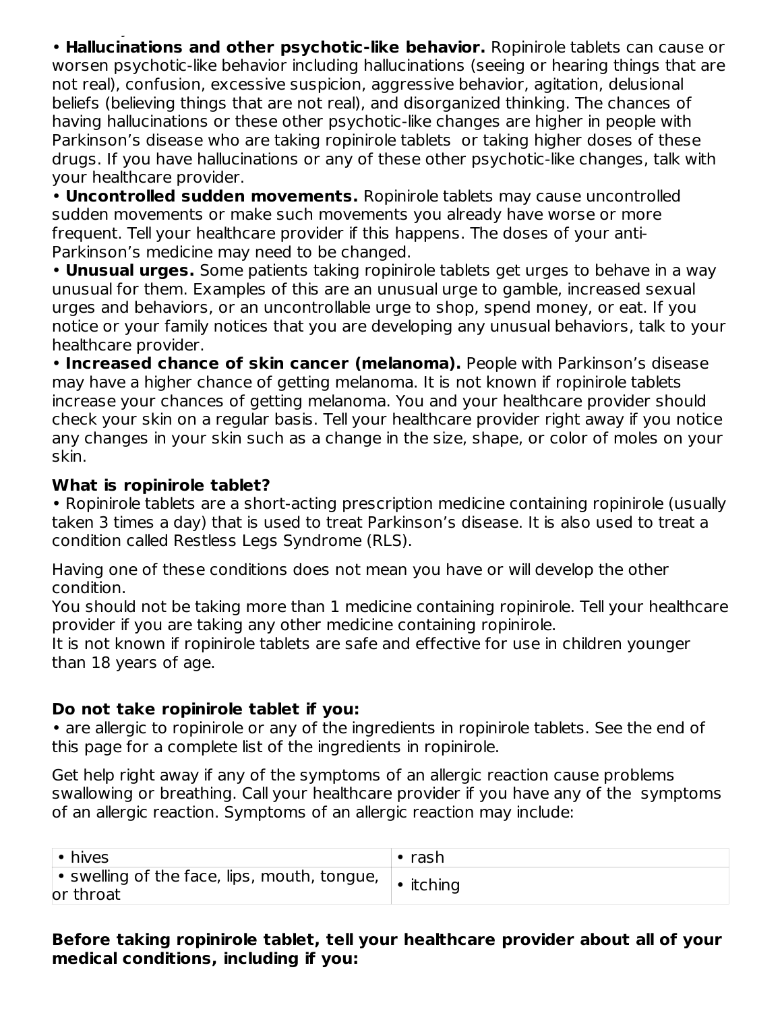increase your heart rate. • **Hallucinations and other psychotic-like behavior.** Ropinirole tablets can cause or worsen psychotic-like behavior including hallucinations (seeing or hearing things that are not real), confusion, excessive suspicion, aggressive behavior, agitation, delusional beliefs (believing things that are not real), and disorganized thinking. The chances of having hallucinations or these other psychotic-like changes are higher in people with Parkinson's disease who are taking ropinirole tablets or taking higher doses of these drugs. If you have hallucinations or any of these other psychotic-like changes, talk with your healthcare provider.

• **Uncontrolled sudden movements.** Ropinirole tablets may cause uncontrolled sudden movements or make such movements you already have worse or more frequent. Tell your healthcare provider if this happens. The doses of your anti-Parkinson's medicine may need to be changed.

• **Unusual urges.** Some patients taking ropinirole tablets get urges to behave in a way unusual for them. Examples of this are an unusual urge to gamble, increased sexual urges and behaviors, or an uncontrollable urge to shop, spend money, or eat. If you notice or your family notices that you are developing any unusual behaviors, talk to your healthcare provider.

• **Increased chance of skin cancer (melanoma).** People with Parkinson's disease may have a higher chance of getting melanoma. It is not known if ropinirole tablets increase your chances of getting melanoma. You and your healthcare provider should check your skin on a regular basis. Tell your healthcare provider right away if you notice any changes in your skin such as a change in the size, shape, or color of moles on your skin.

#### **What is ropinirole tablet?**

• Ropinirole tablets are a short-acting prescription medicine containing ropinirole (usually taken 3 times a day) that is used to treat Parkinson's disease. It is also used to treat a condition called Restless Legs Syndrome (RLS).

Having one of these conditions does not mean you have or will develop the other condition.

You should not be taking more than 1 medicine containing ropinirole. Tell your healthcare provider if you are taking any other medicine containing ropinirole.

It is not known if ropinirole tablets are safe and effective for use in children younger than 18 years of age.

#### **Do not take ropinirole tablet if you:**

• are allergic to ropinirole or any of the ingredients in ropinirole tablets. See the end of this page for a complete list of the ingredients in ropinirole.

Get help right away if any of the symptoms of an allergic reaction cause problems swallowing or breathing. Call your healthcare provider if you have any of the symptoms of an allergic reaction. Symptoms of an allergic reaction may include:

| • hives                                                                                           | $\cdot$ rash |
|---------------------------------------------------------------------------------------------------|--------------|
| $\bullet$ swelling of the face, lips, mouth, tongue, $\vert \bullet \rangle$ itching<br>or throat |              |

**Before taking ropinirole tablet, tell your healthcare provider about all of your medical conditions, including if you:**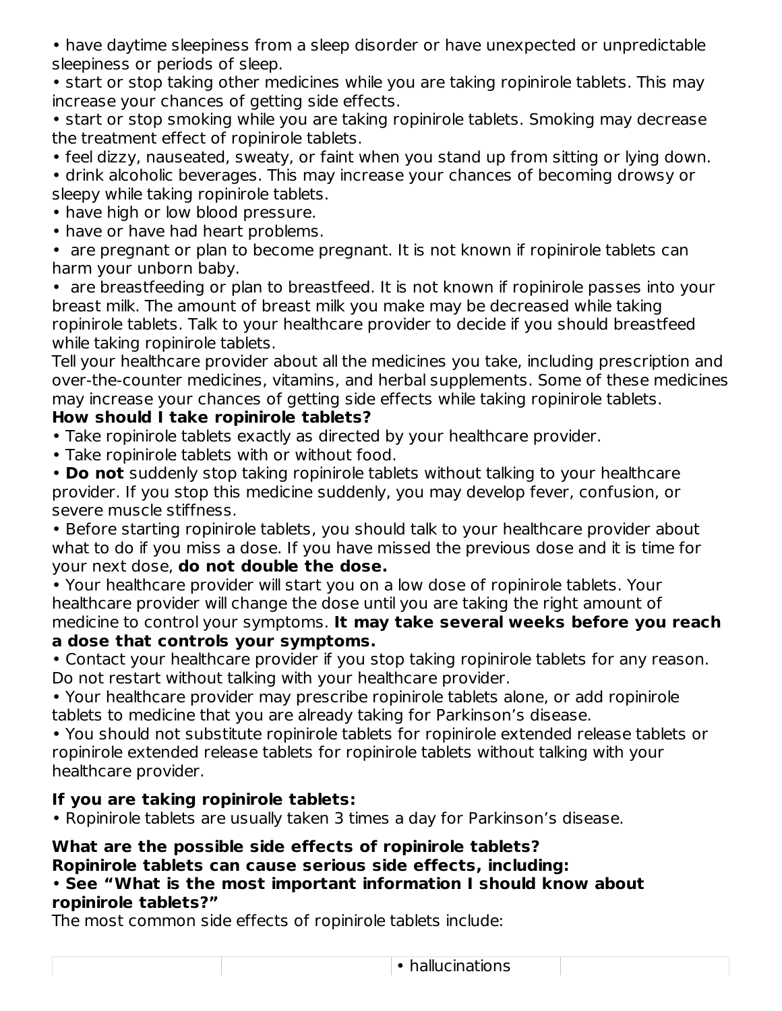• have daytime sleepiness from a sleep disorder or have unexpected or unpredictable sleepiness or periods of sleep.

• start or stop taking other medicines while you are taking ropinirole tablets. This may increase your chances of getting side effects.

• start or stop smoking while you are taking ropinirole tablets. Smoking may decrease the treatment effect of ropinirole tablets.

• feel dizzy, nauseated, sweaty, or faint when you stand up from sitting or lying down.

• drink alcoholic beverages. This may increase your chances of becoming drowsy or sleepy while taking ropinirole tablets.

• have high or low blood pressure.

• have or have had heart problems.

• are pregnant or plan to become pregnant. It is not known if ropinirole tablets can harm your unborn baby.

• are breastfeeding or plan to breastfeed. It is not known if ropinirole passes into your breast milk. The amount of breast milk you make may be decreased while taking ropinirole tablets. Talk to your healthcare provider to decide if you should breastfeed while taking ropinirole tablets.

Tell your healthcare provider about all the medicines you take, including prescription and over-the-counter medicines, vitamins, and herbal supplements. Some of these medicines may increase your chances of getting side effects while taking ropinirole tablets.

## **How should I take ropinirole tablets?**

- Take ropinirole tablets exactly as directed by your healthcare provider.
- Take ropinirole tablets with or without food.

• **Do not** suddenly stop taking ropinirole tablets without talking to your healthcare provider. If you stop this medicine suddenly, you may develop fever, confusion, or severe muscle stiffness.

• Before starting ropinirole tablets, you should talk to your healthcare provider about what to do if you miss a dose. If you have missed the previous dose and it is time for your next dose, **do not double the dose.**

• Your healthcare provider will start you on a low dose of ropinirole tablets. Your healthcare provider will change the dose until you are taking the right amount of medicine to control your symptoms. **It may take several weeks before you reach a dose that controls your symptoms.**

• Contact your healthcare provider if you stop taking ropinirole tablets for any reason. Do not restart without talking with your healthcare provider.

• Your healthcare provider may prescribe ropinirole tablets alone, or add ropinirole tablets to medicine that you are already taking for Parkinson's disease.

• You should not substitute ropinirole tablets for ropinirole extended release tablets or ropinirole extended release tablets for ropinirole tablets without talking with your healthcare provider.

## **If you are taking ropinirole tablets:**

• Ropinirole tablets are usually taken 3 times a day for Parkinson's disease.

#### **What are the possible side effects of ropinirole tablets? Ropinirole tablets can cause serious side effects, including:**

## • **See "What is the most important information I should know about ropinirole tablets?"**

The most common side effects of ropinirole tablets include: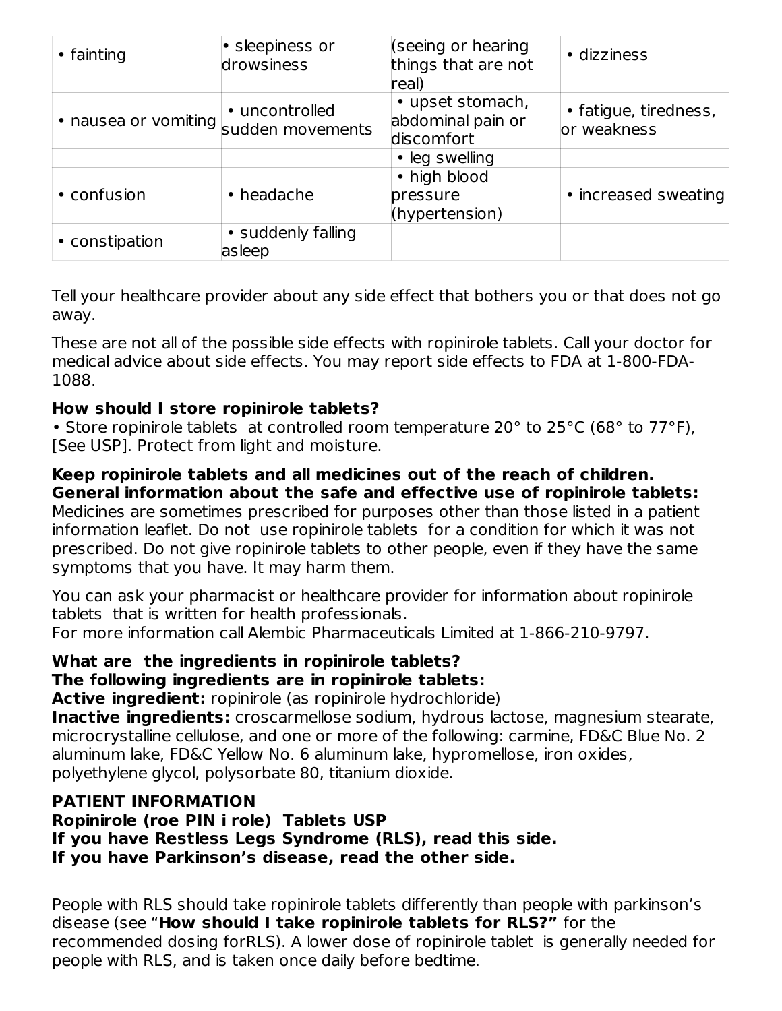| $\bullet$ fainting   | · sleepiness or<br>drowsiness      | (seeing or hearing<br>things that are not<br>real)  | • dizziness                          |
|----------------------|------------------------------------|-----------------------------------------------------|--------------------------------------|
| • nausea or vomiting | • uncontrolled<br>sudden movements | • upset stomach,<br>abdominal pain or<br>discomfort | • fatigue, tiredness,<br>or weakness |
|                      |                                    | • leg swelling                                      |                                      |
| • confusion          | • headache                         | • high blood<br>pressure<br>(hypertension)          | • increased sweating                 |
| • constipation       | • suddenly falling<br>asleep       |                                                     |                                      |

Tell your healthcare provider about any side effect that bothers you or that does not go away.

These are not all of the possible side effects with ropinirole tablets. Call your doctor for medical advice about side effects. You may report side effects to FDA at 1-800-FDA-1088.

#### **How should I store ropinirole tablets?**

• Store ropinirole tablets at controlled room temperature 20° to 25°C (68° to 77°F), [See USP]. Protect from light and moisture.

#### **Keep ropinirole tablets and all medicines out of the reach of children. General information about the safe and effective use of ropinirole tablets:**

Medicines are sometimes prescribed for purposes other than those listed in a patient information leaflet. Do not use ropinirole tablets for a condition for which it was not prescribed. Do not give ropinirole tablets to other people, even if they have the same symptoms that you have. It may harm them.

You can ask your pharmacist or healthcare provider for information about ropinirole tablets that is written for health professionals.

For more information call Alembic Pharmaceuticals Limited at 1-866-210-9797.

#### **What are the ingredients in ropinirole tablets? The following ingredients are in ropinirole tablets:**

**Active ingredient:** ropinirole (as ropinirole hydrochloride)

**Inactive ingredients:** croscarmellose sodium, hydrous lactose, magnesium stearate, microcrystalline cellulose, and one or more of the following: carmine, FD&C Blue No. 2 aluminum lake, FD&C Yellow No. 6 aluminum lake, hypromellose, iron oxides, polyethylene glycol, polysorbate 80, titanium dioxide.

## **PATIENT INFORMATION**

**Ropinirole (roe PIN i role) Tablets USP**

**If you have Restless Legs Syndrome (RLS), read this side.**

**If you have Parkinson's disease, read the other side.**

People with RLS should take ropinirole tablets differently than people with parkinson's disease (see "**How should I take ropinirole tablets for RLS?"** for the recommended dosing forRLS). A lower dose of ropinirole tablet is generally needed for people with RLS, and is taken once daily before bedtime.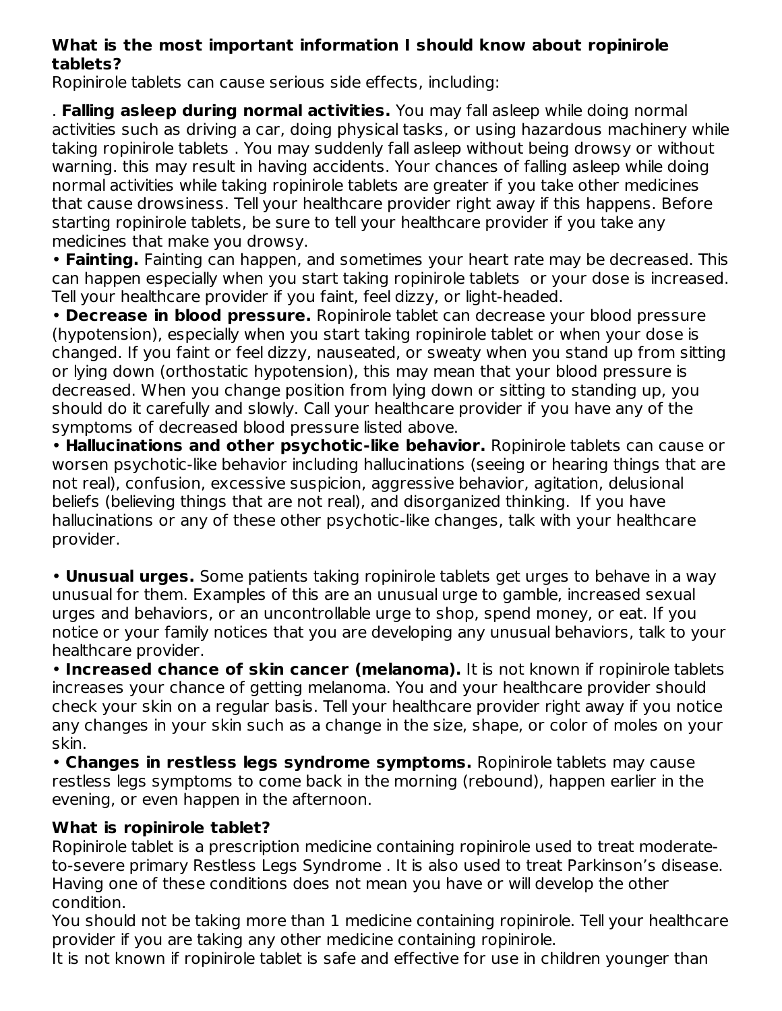#### **What is the most important information I should know about ropinirole tablets?**

Ropinirole tablets can cause serious side effects, including:

. **Falling asleep during normal activities.** You may fall asleep while doing normal activities such as driving a car, doing physical tasks, or using hazardous machinery while taking ropinirole tablets . You may suddenly fall asleep without being drowsy or without warning. this may result in having accidents. Your chances of falling asleep while doing normal activities while taking ropinirole tablets are greater if you take other medicines that cause drowsiness. Tell your healthcare provider right away if this happens. Before starting ropinirole tablets, be sure to tell your healthcare provider if you take any medicines that make you drowsy.

• **Fainting.** Fainting can happen, and sometimes your heart rate may be decreased. This can happen especially when you start taking ropinirole tablets or your dose is increased. Tell your healthcare provider if you faint, feel dizzy, or light-headed.

• **Decrease in blood pressure.** Ropinirole tablet can decrease your blood pressure (hypotension), especially when you start taking ropinirole tablet or when your dose is changed. If you faint or feel dizzy, nauseated, or sweaty when you stand up from sitting or lying down (orthostatic hypotension), this may mean that your blood pressure is decreased. When you change position from lying down or sitting to standing up, you should do it carefully and slowly. Call your healthcare provider if you have any of the symptoms of decreased blood pressure listed above.

• **Hallucinations and other psychotic-like behavior.** Ropinirole tablets can cause or worsen psychotic-like behavior including hallucinations (seeing or hearing things that are not real), confusion, excessive suspicion, aggressive behavior, agitation, delusional beliefs (believing things that are not real), and disorganized thinking. If you have hallucinations or any of these other psychotic-like changes, talk with your healthcare provider.

• **Unusual urges.** Some patients taking ropinirole tablets get urges to behave in a way unusual for them. Examples of this are an unusual urge to gamble, increased sexual urges and behaviors, or an uncontrollable urge to shop, spend money, or eat. If you notice or your family notices that you are developing any unusual behaviors, talk to your healthcare provider.

• **Increased chance of skin cancer (melanoma).** It is not known if ropinirole tablets increases your chance of getting melanoma. You and your healthcare provider should check your skin on a regular basis. Tell your healthcare provider right away if you notice any changes in your skin such as a change in the size, shape, or color of moles on your skin.

• **Changes in restless legs syndrome symptoms.** Ropinirole tablets may cause restless legs symptoms to come back in the morning (rebound), happen earlier in the evening, or even happen in the afternoon.

#### **What is ropinirole tablet?**

Ropinirole tablet is a prescription medicine containing ropinirole used to treat moderateto-severe primary Restless Legs Syndrome . It is also used to treat Parkinson's disease. Having one of these conditions does not mean you have or will develop the other condition.

You should not be taking more than 1 medicine containing ropinirole. Tell your healthcare provider if you are taking any other medicine containing ropinirole.

It is not known if ropinirole tablet is safe and effective for use in children younger than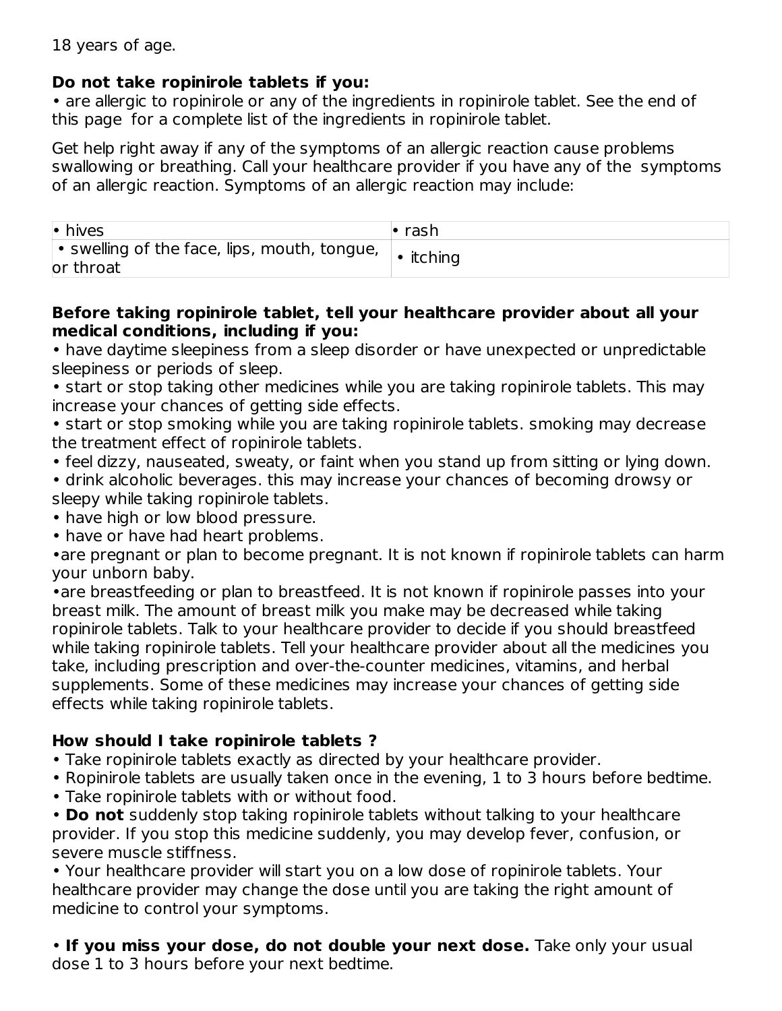18 years of age.

#### **Do not take ropinirole tablets if you:**

• are allergic to ropinirole or any of the ingredients in ropinirole tablet. See the end of this page for a complete list of the ingredients in ropinirole tablet.

Get help right away if any of the symptoms of an allergic reaction cause problems swallowing or breathing. Call your healthcare provider if you have any of the symptoms of an allergic reaction. Symptoms of an allergic reaction may include:

| • hives                                                                                           | <sup>,</sup> rash |
|---------------------------------------------------------------------------------------------------|-------------------|
| $\bullet$ swelling of the face, lips, mouth, tongue, $\vert \bullet \rangle$ itching<br>or throat |                   |

#### **Before taking ropinirole tablet, tell your healthcare provider about all your medical conditions, including if you:**

• have daytime sleepiness from a sleep disorder or have unexpected or unpredictable sleepiness or periods of sleep.

• start or stop taking other medicines while you are taking ropinirole tablets. This may increase your chances of getting side effects.

• start or stop smoking while you are taking ropinirole tablets. smoking may decrease the treatment effect of ropinirole tablets.

• feel dizzy, nauseated, sweaty, or faint when you stand up from sitting or lying down.

• drink alcoholic beverages. this may increase your chances of becoming drowsy or sleepy while taking ropinirole tablets.

- have high or low blood pressure.
- have or have had heart problems.

•are pregnant or plan to become pregnant. It is not known if ropinirole tablets can harm your unborn baby.

•are breastfeeding or plan to breastfeed. It is not known if ropinirole passes into your breast milk. The amount of breast milk you make may be decreased while taking ropinirole tablets. Talk to your healthcare provider to decide if you should breastfeed while taking ropinirole tablets. Tell your healthcare provider about all the medicines you take, including prescription and over-the-counter medicines, vitamins, and herbal supplements. Some of these medicines may increase your chances of getting side effects while taking ropinirole tablets.

## **How should I take ropinirole tablets ?**

- Take ropinirole tablets exactly as directed by your healthcare provider.
- Ropinirole tablets are usually taken once in the evening, 1 to 3 hours before bedtime.
- Take ropinirole tablets with or without food.

• **Do not** suddenly stop taking ropinirole tablets without talking to your healthcare provider. If you stop this medicine suddenly, you may develop fever, confusion, or severe muscle stiffness.

• Your healthcare provider will start you on a low dose of ropinirole tablets. Your healthcare provider may change the dose until you are taking the right amount of medicine to control your symptoms.

• **If you miss your dose, do not double your next dose.** Take only your usual dose 1 to 3 hours before your next bedtime.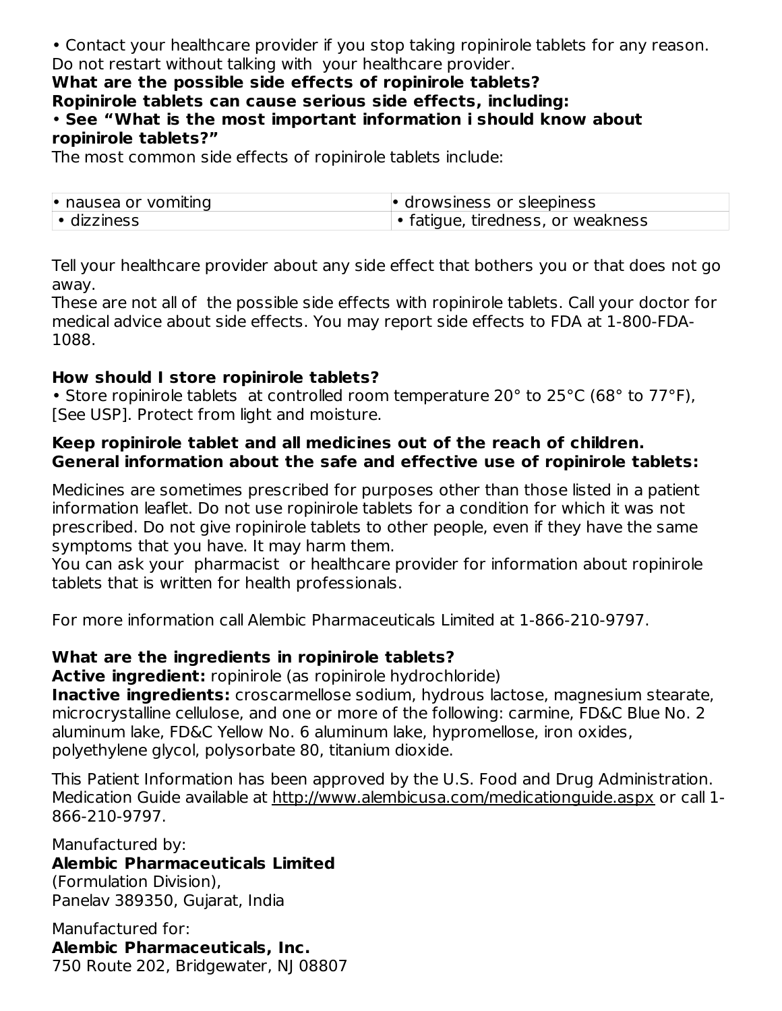• Contact your healthcare provider if you stop taking ropinirole tablets for any reason. Do not restart without talking with your healthcare provider.

**What are the possible side effects of ropinirole tablets?**

**Ropinirole tablets can cause serious side effects, including:**

• **See "What is the most important information i should know about ropinirole tablets?"**

The most common side effects of ropinirole tablets include:

| $\cdot$ nausea or vomiting | $\cdot$ drowsiness or sleepiness    |
|----------------------------|-------------------------------------|
| $\cdot$ dizziness          | I • fatigue, tiredness, or weakness |

Tell your healthcare provider about any side effect that bothers you or that does not go away.

These are not all of the possible side effects with ropinirole tablets. Call your doctor for medical advice about side effects. You may report side effects to FDA at 1-800-FDA-1088.

#### **How should I store ropinirole tablets?**

• Store ropinirole tablets at controlled room temperature 20° to 25°C (68° to 77°F), [See USP]. Protect from light and moisture.

#### **Keep ropinirole tablet and all medicines out of the reach of children. General information about the safe and effective use of ropinirole tablets:**

Medicines are sometimes prescribed for purposes other than those listed in a patient information leaflet. Do not use ropinirole tablets for a condition for which it was not prescribed. Do not give ropinirole tablets to other people, even if they have the same symptoms that you have. It may harm them.

You can ask your pharmacist or healthcare provider for information about ropinirole tablets that is written for health professionals.

For more information call Alembic Pharmaceuticals Limited at 1-866-210-9797.

## **What are the ingredients in ropinirole tablets?**

**Active ingredient:** ropinirole (as ropinirole hydrochloride)

**Inactive ingredients:** croscarmellose sodium, hydrous lactose, magnesium stearate, microcrystalline cellulose, and one or more of the following: carmine, FD&C Blue No. 2 aluminum lake, FD&C Yellow No. 6 aluminum lake, hypromellose, iron oxides, polyethylene glycol, polysorbate 80, titanium dioxide.

This Patient Information has been approved by the U.S. Food and Drug Administration. Medication Guide available at http://www.alembicusa.com/medicationguide.aspx or call 1- 866-210-9797.

Manufactured by:

**Alembic Pharmaceuticals Limited** (Formulation Division), Panelav 389350, Gujarat, India

Manufactured for: **Alembic Pharmaceuticals, Inc.** 750 Route 202, Bridgewater, NJ 08807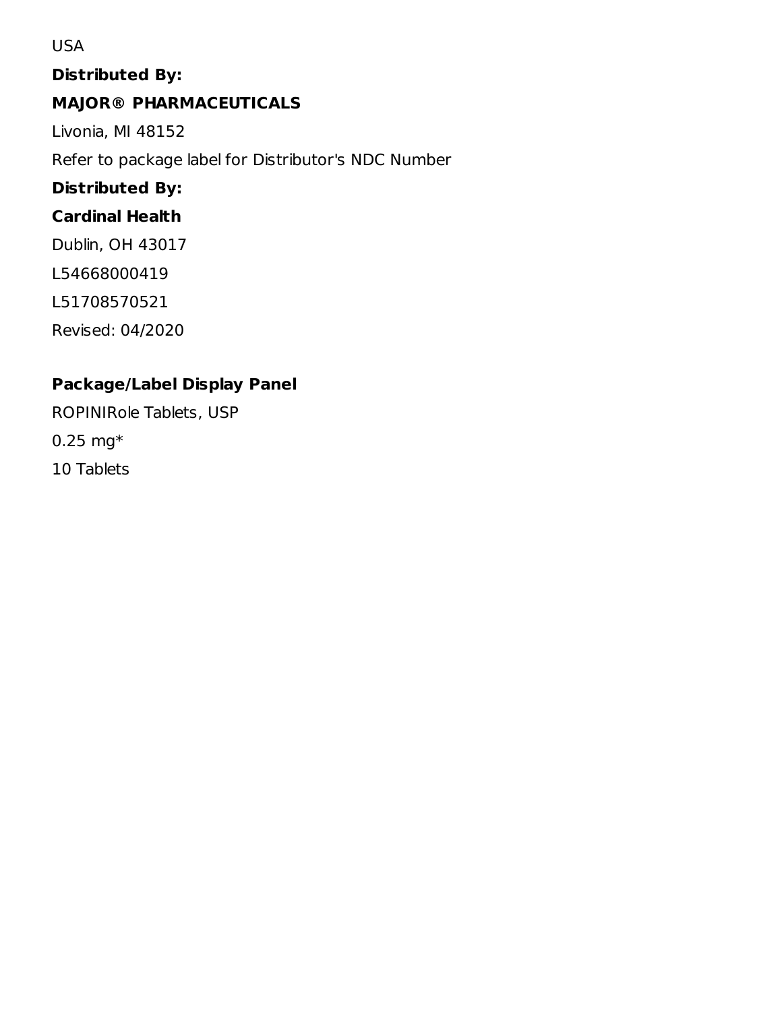#### USA

**Distributed By: MAJOR® PHARMACEUTICALS** Livonia, MI 48152

Refer to package label for Distributor's NDC Number

## **Distributed By:**

## **Cardinal Health**

Dublin, OH 43017

L54668000419

L51708570521

Revised: 04/2020

## **Package/Label Display Panel**

ROPINIRole Tablets, USP 0.25 mg\* 10 Tablets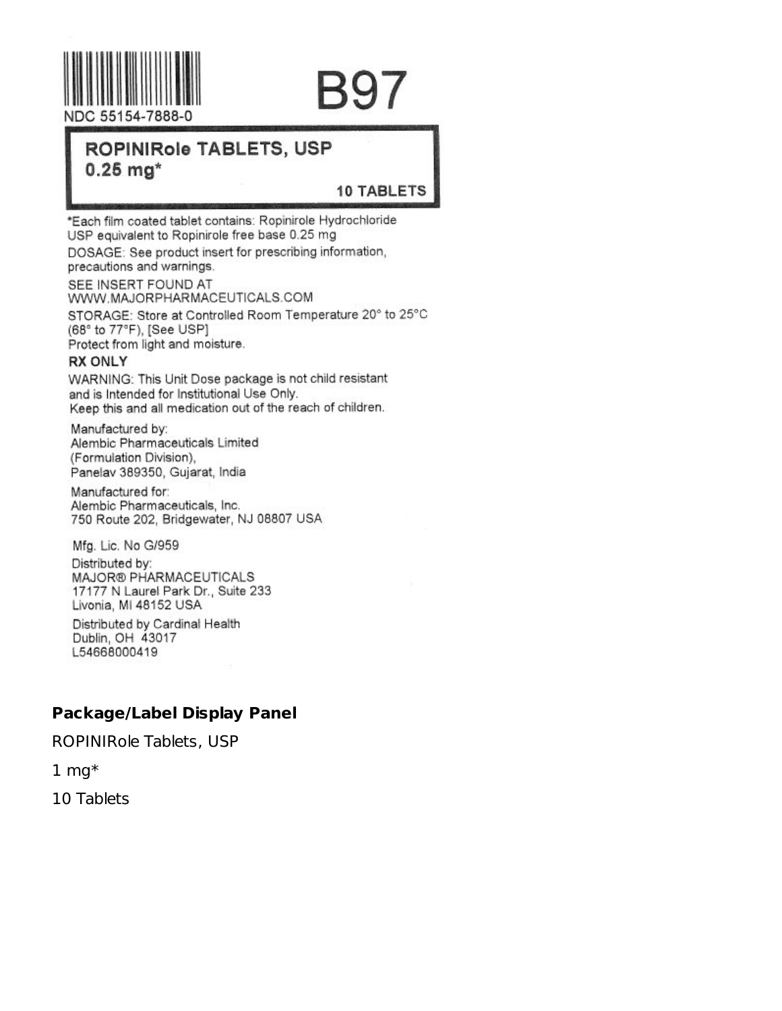

## B97

NDC 55154-7888-0

## ROPINIRole TABLETS, USP  $0.25$  mg<sup>\*</sup>

**10 TABLETS** 

\*Each film coated tablet contains: Ropinirole Hydrochloride USP equivalent to Ropinirole free base 0.25 mg

DOSAGE: See product insert for prescribing information, precautions and warnings.

SEE INSERT FOUND AT WWW.MAJORPHARMACEUTICALS.COM

STORAGE: Store at Controlled Room Temperature 20° to 25°C (68° to 77°F), [See USP] Protect from light and moisture.

#### **RX ONLY**

WARNING: This Unit Dose package is not child resistant and is Intended for Institutional Use Only. Keep this and all medication out of the reach of children.

Manufactured by: Alembic Pharmaceuticals Limited (Formulation Division), Panelav 389350, Gujarat, India

Manufactured for: Alembic Pharmaceuticals, Inc. 750 Route 202, Bridgewater, NJ 08807 USA

Mfg. Lic. No G/959 Distributed by: MAJOR® PHARMACEUTICALS 17177 N Laurel Park Dr., Suite 233 Livonia, MI 48152 USA

Distributed by Cardinal Health Dublin, OH 43017 L54668000419

#### **Package/Label Display Panel**

ROPINIRole Tablets, USP

 $1$  mg<sup>\*</sup>

10 Tablets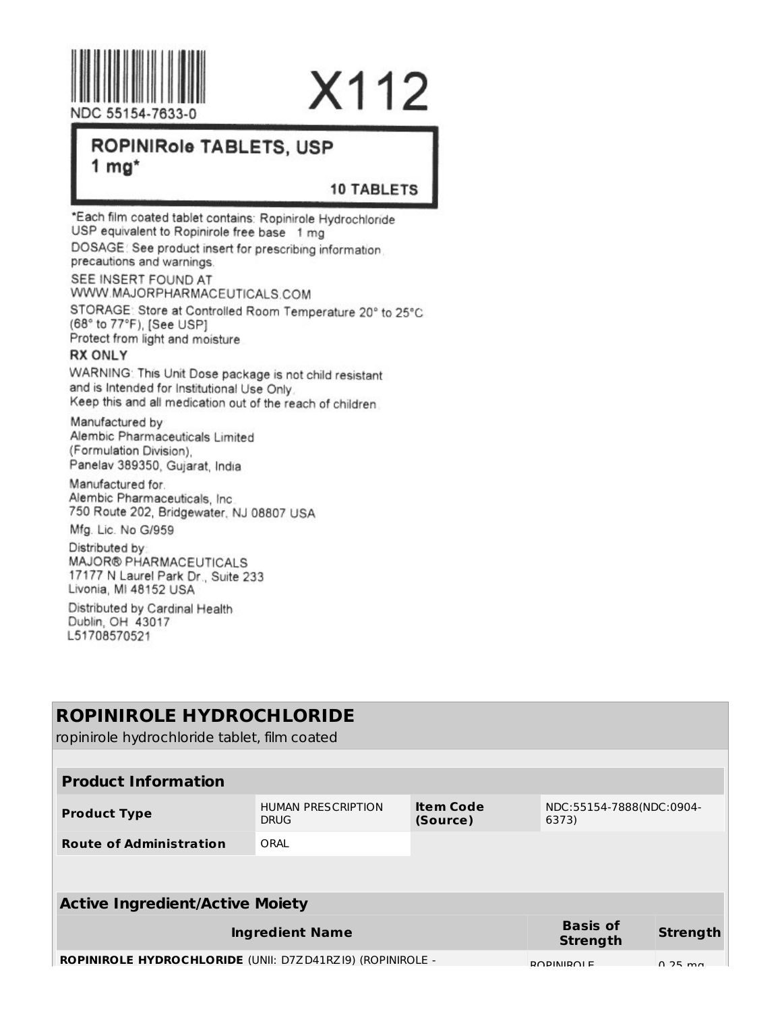

# X112

NDC 55154-7633-0

## ROPINIRole TABLETS, USP  $1<sub>ma*</sub>$

**10 TABLETS** 

\*Each film coated tablet contains: Ropinirole Hydrochloride USP equivalent to Ropinirole free base 1 mg DOSAGE: See product insert for prescribing information

precautions and warnings.

SEE INSERT FOUND AT WWW.MAJORPHARMACEUTICALS.COM STORAGE: Store at Controlled Room Temperature 20° to 25°C (68° to 77°F), [See USP] Protect from light and moisture

#### RX ONLY

WARNING: This Unit Dose package is not child resistant and is Intended for Institutional Use Only Keep this and all medication out of the reach of children.

Manufactured by Alembic Pharmaceuticals Limited (Formulation Division). Panelav 389350, Gujarat, India

Manufactured for. Alembic Pharmaceuticals, Inc. 750 Route 202, Bridgewater, NJ 08807 USA

Mfg. Lic. No G/959

Distributed by **MAJOR® PHARMACEUTICALS** 17177 N Laurel Park Dr., Suite 233 Livonia, MI 48152 USA

Distributed by Cardinal Health Dublin, OH 43017 L51708570521

## **ROPINIROLE HYDROCHLORIDE**

ropinirole hydrochloride tablet, film coated

| <b>Product Information</b>                                |                                          |                              |                                    |                   |
|-----------------------------------------------------------|------------------------------------------|------------------------------|------------------------------------|-------------------|
| <b>Product Type</b>                                       | <b>HUMAN PRESCRIPTION</b><br><b>DRUG</b> | <b>Item Code</b><br>(Source) | NDC:55154-7888(NDC:0904-<br>6373)  |                   |
| <b>Route of Administration</b>                            | ORAI                                     |                              |                                    |                   |
|                                                           |                                          |                              |                                    |                   |
|                                                           |                                          |                              |                                    |                   |
| <b>Active Ingredient/Active Moiety</b>                    |                                          |                              |                                    |                   |
|                                                           | <b>Ingredient Name</b>                   |                              | <b>Basis of</b><br><b>Strength</b> | <b>Strength</b>   |
| ROPINIROLE HYDROCHLORIDE (UNII: D7ZD41RZI9) (ROPINIROLE - |                                          |                              | $D$ INIIDOI E                      | $0.25 \text{ ms}$ |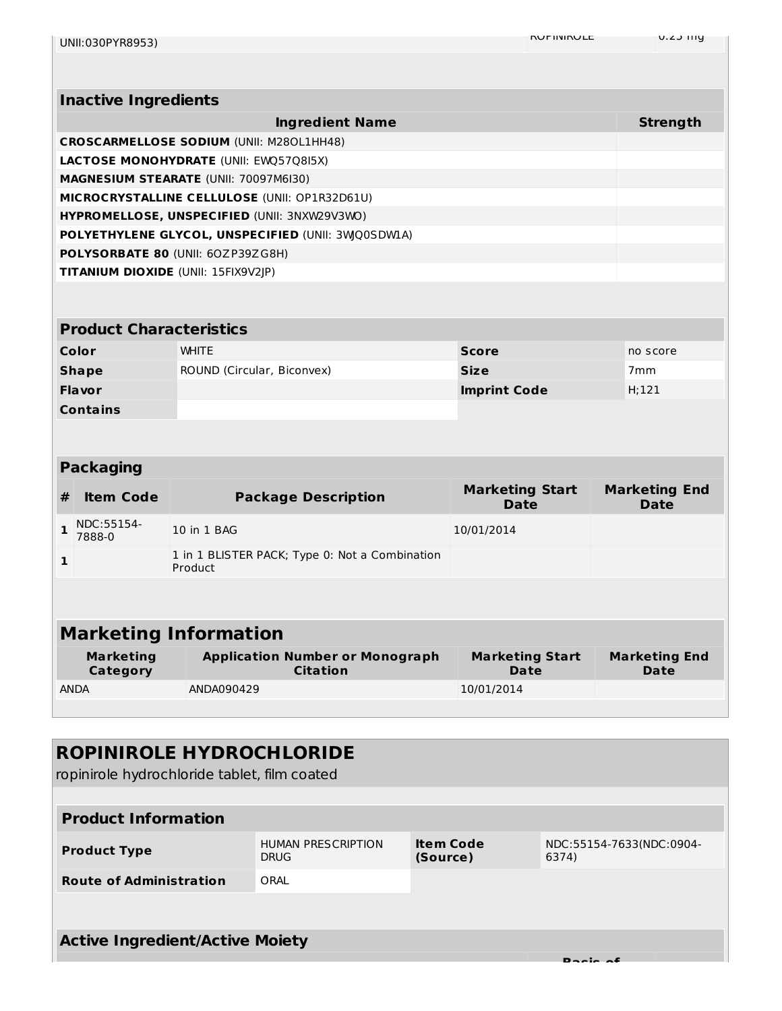|                                           | <b>Inactive Ingredients</b>                     |                                                           |                                       |                                     |  |  |
|-------------------------------------------|-------------------------------------------------|-----------------------------------------------------------|---------------------------------------|-------------------------------------|--|--|
| <b>Ingredient Name</b><br><b>Strength</b> |                                                 |                                                           |                                       |                                     |  |  |
|                                           | <b>CROSCARMELLOSE SODIUM (UNII: M280L1HH48)</b> |                                                           |                                       |                                     |  |  |
|                                           |                                                 | LACTOSE MONOHYDRATE (UNII: EWQ57Q8I5X)                    |                                       |                                     |  |  |
|                                           |                                                 | MAGNESIUM STEARATE (UNII: 70097M6I30)                     |                                       |                                     |  |  |
|                                           |                                                 | MICROCRYSTALLINE CELLULOSE (UNII: OP1R32D61U)             |                                       |                                     |  |  |
|                                           |                                                 | HYPROMELLOSE, UNSPECIFIED (UNII: 3NXW29V3WO)              |                                       |                                     |  |  |
|                                           |                                                 | POLYETHYLENE GLYCOL, UNSPECIFIED (UNII: 3WQ0SDWLA)        |                                       |                                     |  |  |
|                                           |                                                 | POLYSORBATE 80 (UNII: 60ZP39ZG8H)                         |                                       |                                     |  |  |
|                                           |                                                 | <b>TITANIUM DIOXIDE</b> (UNII: 15FIX9V2 P)                |                                       |                                     |  |  |
|                                           |                                                 |                                                           |                                       |                                     |  |  |
|                                           | <b>Product Characteristics</b>                  |                                                           |                                       |                                     |  |  |
| Color                                     |                                                 | <b>WHITE</b>                                              | <b>Score</b>                          | no score                            |  |  |
| <b>Shape</b>                              |                                                 | ROUND (Circular, Biconvex)                                | <b>Size</b>                           | 7 <sub>mm</sub>                     |  |  |
| Flavor                                    |                                                 |                                                           | <b>Imprint Code</b>                   | H:121                               |  |  |
|                                           | <b>Contains</b>                                 |                                                           |                                       |                                     |  |  |
|                                           |                                                 |                                                           |                                       |                                     |  |  |
|                                           |                                                 |                                                           |                                       |                                     |  |  |
|                                           | <b>Packaging</b>                                |                                                           |                                       |                                     |  |  |
| #                                         | <b>Item Code</b>                                |                                                           |                                       |                                     |  |  |
|                                           |                                                 | <b>Package Description</b>                                | <b>Marketing Start</b><br><b>Date</b> | <b>Marketing End</b><br>Date        |  |  |
| $\mathbf{1}$                              | NDC:55154-<br>7888-0                            | 10 in 1 BAG                                               | 10/01/2014                            |                                     |  |  |
| $\mathbf 1$                               |                                                 | 1 in 1 BLISTER PACK; Type 0: Not a Combination<br>Product |                                       |                                     |  |  |
|                                           |                                                 |                                                           |                                       |                                     |  |  |
|                                           |                                                 |                                                           |                                       |                                     |  |  |
|                                           |                                                 | <b>Marketing Information</b>                              |                                       |                                     |  |  |
|                                           | <b>Marketing</b><br>Category                    | <b>Application Number or Monograph</b><br><b>Citation</b> | <b>Marketing Start</b><br><b>Date</b> | <b>Marketing End</b><br><b>Date</b> |  |  |
| <b>ANDA</b>                               |                                                 | ANDA090429                                                | 10/01/2014                            |                                     |  |  |

| ROPINIROLE HYDROCHLORIDE<br>ropinirole hydrochloride tablet, film coated |                                          |                              |                                   |  |  |
|--------------------------------------------------------------------------|------------------------------------------|------------------------------|-----------------------------------|--|--|
| <b>Product Information</b>                                               |                                          |                              |                                   |  |  |
| <b>Product Type</b>                                                      | <b>HUMAN PRESCRIPTION</b><br><b>DRUG</b> | <b>Item Code</b><br>(Source) | NDC:55154-7633(NDC:0904-<br>6374) |  |  |
| <b>Route of Administration</b>                                           | ORAL                                     |                              |                                   |  |  |
|                                                                          |                                          |                              |                                   |  |  |
| <b>Active Ingredient/Active Moiety</b>                                   |                                          |                              |                                   |  |  |
|                                                                          |                                          |                              |                                   |  |  |